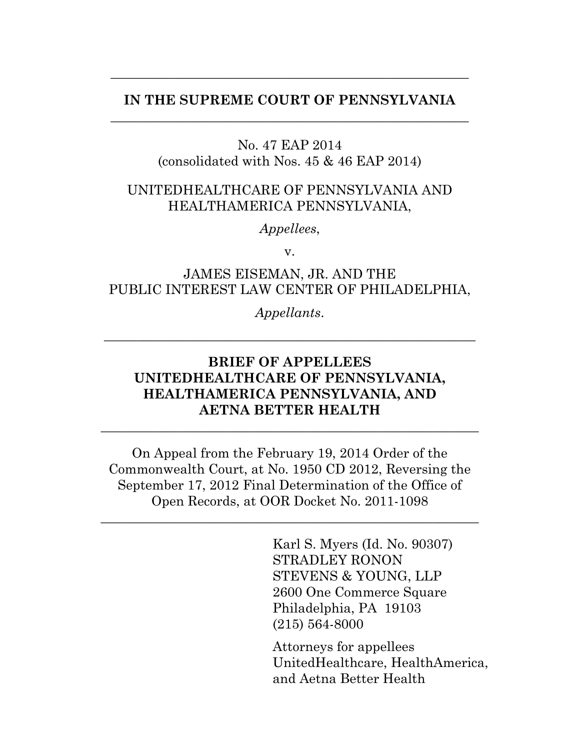### **IN THE SUPREME COURT OF PENNSYLVANIA** \_\_\_\_\_\_\_\_\_\_\_\_\_\_\_\_\_\_\_\_\_\_\_\_\_\_\_\_\_\_\_\_\_\_\_\_\_\_\_\_\_\_\_\_\_\_\_\_\_\_\_\_\_\_

\_\_\_\_\_\_\_\_\_\_\_\_\_\_\_\_\_\_\_\_\_\_\_\_\_\_\_\_\_\_\_\_\_\_\_\_\_\_\_\_\_\_\_\_\_\_\_\_\_\_\_\_\_\_

#### No. 47 EAP 2014 (consolidated with Nos. 45 & 46 EAP 2014)

### UNITEDHEALTHCARE OF PENNSYLVANIA AND HEALTHAMERICA PENNSYLVANIA,

*Appellees*,

v.

### JAMES EISEMAN, JR. AND THE PUBLIC INTEREST LAW CENTER OF PHILADELPHIA,

*Appellants*.

\_\_\_\_\_\_\_\_\_\_\_\_\_\_\_\_\_\_\_\_\_\_\_\_\_\_\_\_\_\_\_\_\_\_\_\_\_\_\_\_\_\_\_\_\_\_\_\_\_\_\_\_\_\_\_\_

## **BRIEF OF APPELLEES UNITEDHEALTHCARE OF PENNSYLVANIA, HEALTHAMERICA PENNSYLVANIA, AND AETNA BETTER HEALTH**

\_\_\_\_\_\_\_\_\_\_\_\_\_\_\_\_\_\_\_\_\_\_\_\_\_\_\_\_\_\_\_\_\_\_\_\_\_\_\_\_\_\_\_\_\_\_\_\_\_\_\_\_\_\_\_\_\_

On Appeal from the February 19, 2014 Order of the Commonwealth Court, at No. 1950 CD 2012, Reversing the September 17, 2012 Final Determination of the Office of Open Records, at OOR Docket No. 2011-1098

\_\_\_\_\_\_\_\_\_\_\_\_\_\_\_\_\_\_\_\_\_\_\_\_\_\_\_\_\_\_\_\_\_\_\_\_\_\_\_\_\_\_\_\_\_\_\_\_\_\_\_\_\_\_\_\_\_

Karl S. Myers (Id. No. 90307) STRADLEY RONON STEVENS & YOUNG, LLP 2600 One Commerce Square Philadelphia, PA 19103 (215) 564-8000

Attorneys for appellees UnitedHealthcare, HealthAmerica, and Aetna Better Health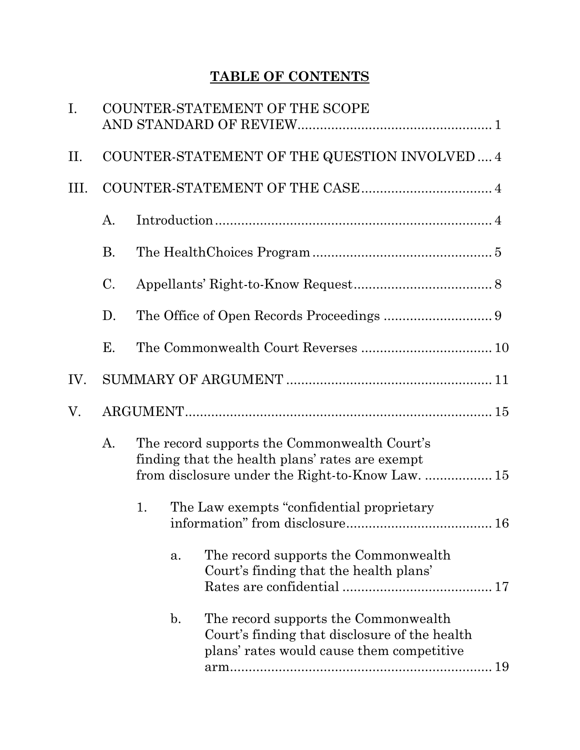# **TABLE OF CONTENTS**

| I.   |           |                                                                                                                                                     | COUNTER-STATEMENT OF THE SCOPE             |                                                                                                                                    |    |  |  |  |
|------|-----------|-----------------------------------------------------------------------------------------------------------------------------------------------------|--------------------------------------------|------------------------------------------------------------------------------------------------------------------------------------|----|--|--|--|
| II.  |           | COUNTER-STATEMENT OF THE QUESTION INVOLVED 4                                                                                                        |                                            |                                                                                                                                    |    |  |  |  |
| III. |           |                                                                                                                                                     |                                            |                                                                                                                                    |    |  |  |  |
|      | A.        |                                                                                                                                                     |                                            |                                                                                                                                    |    |  |  |  |
|      | <b>B.</b> |                                                                                                                                                     |                                            |                                                                                                                                    |    |  |  |  |
|      | C.        |                                                                                                                                                     |                                            |                                                                                                                                    |    |  |  |  |
|      | D.        |                                                                                                                                                     |                                            |                                                                                                                                    |    |  |  |  |
|      | Е.        |                                                                                                                                                     |                                            |                                                                                                                                    |    |  |  |  |
| IV.  |           |                                                                                                                                                     |                                            |                                                                                                                                    |    |  |  |  |
| V.   |           |                                                                                                                                                     |                                            |                                                                                                                                    |    |  |  |  |
|      | A.        | The record supports the Commonwealth Court's<br>finding that the health plans' rates are exempt<br>from disclosure under the Right-to-Know Law.  15 |                                            |                                                                                                                                    |    |  |  |  |
|      |           | 1.                                                                                                                                                  | The Law exempts "confidential proprietary" |                                                                                                                                    |    |  |  |  |
|      |           |                                                                                                                                                     | a.                                         | The record supports the Commonwealth<br>Court's finding that the health plans'                                                     |    |  |  |  |
|      |           |                                                                                                                                                     | $\mathbf{b}$ .                             | The record supports the Commonwealth<br>Court's finding that disclosure of the health<br>plans' rates would cause them competitive | 19 |  |  |  |
|      |           |                                                                                                                                                     |                                            |                                                                                                                                    |    |  |  |  |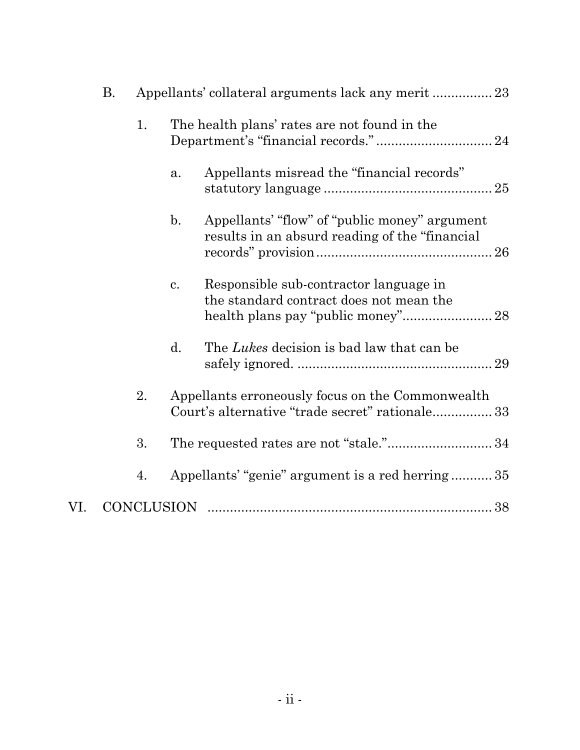|     | <b>B.</b> | Appellants' collateral arguments lack any merit  23 |                   |                                                                                                     |  |
|-----|-----------|-----------------------------------------------------|-------------------|-----------------------------------------------------------------------------------------------------|--|
|     |           | 1.                                                  |                   | The health plans' rates are not found in the                                                        |  |
|     |           |                                                     | a.                | Appellants misread the "financial records"                                                          |  |
|     |           |                                                     | $\mathbf{b}$ .    | Appellants' "flow" of "public money" argument<br>results in an absurd reading of the "financial"    |  |
|     |           |                                                     | $\mathbf{c}$ .    | Responsible sub-contractor language in<br>the standard contract does not mean the                   |  |
|     |           |                                                     | d.                | The Lukes decision is bad law that can be                                                           |  |
|     |           | 2.                                                  |                   | Appellants erroneously focus on the Commonwealth<br>Court's alternative "trade secret" rationale 33 |  |
|     |           | 3.                                                  |                   | The requested rates are not "stale." 34                                                             |  |
|     |           | 4.                                                  |                   | Appellants' "genie" argument is a red herring35                                                     |  |
| VI. |           |                                                     | <b>CONCLUSION</b> |                                                                                                     |  |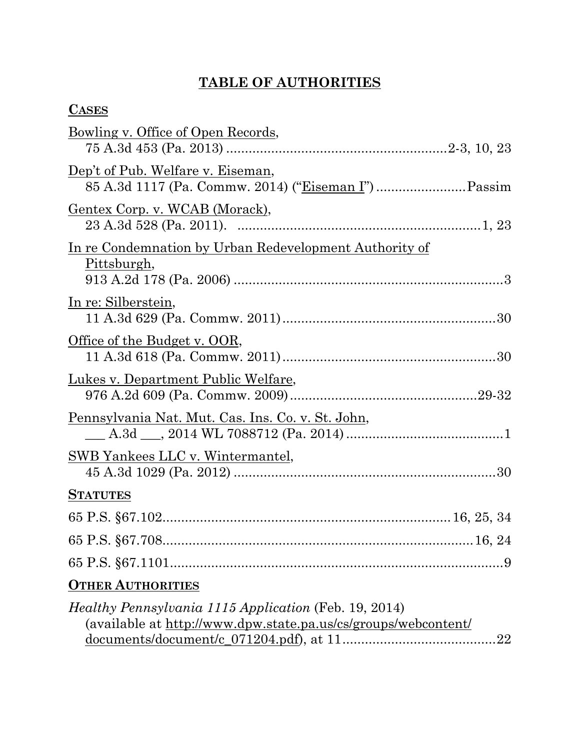# **TABLE OF AUTHORITIES**

| \SES<br>∼ |
|-----------|
|-----------|

| <u>Bowling v. Office of Open Records,</u>                                                                                      |
|--------------------------------------------------------------------------------------------------------------------------------|
|                                                                                                                                |
| Dep't of Pub. Welfare v. Eiseman,                                                                                              |
| <u>Gentex Corp. v. WCAB (Morack),</u>                                                                                          |
| <u>In re Condemnation by Urban Redevelopment Authority of</u><br>Pittsburgh,                                                   |
| In re: Silberstein,                                                                                                            |
| <u>Office of the Budget v. OOR,</u>                                                                                            |
| Lukes v. Department Public Welfare,                                                                                            |
| <u>Pennsylvania Nat. Mut. Cas. Ins. Co. v. St. John,</u>                                                                       |
| <u>SWB Yankees LLC v. Wintermantel,</u>                                                                                        |
| <b>STATUTES</b>                                                                                                                |
|                                                                                                                                |
|                                                                                                                                |
| 9                                                                                                                              |
| <b>OTHER AUTHORITIES</b>                                                                                                       |
| <i>Healthy Pennsylvania 1115 Application</i> (Feb. 19, 2014)<br>(available at http://www.dpw.state.pa.us/cs/groups/webcontent/ |

documents/document/c\_071204.pdf), at 11.........................................22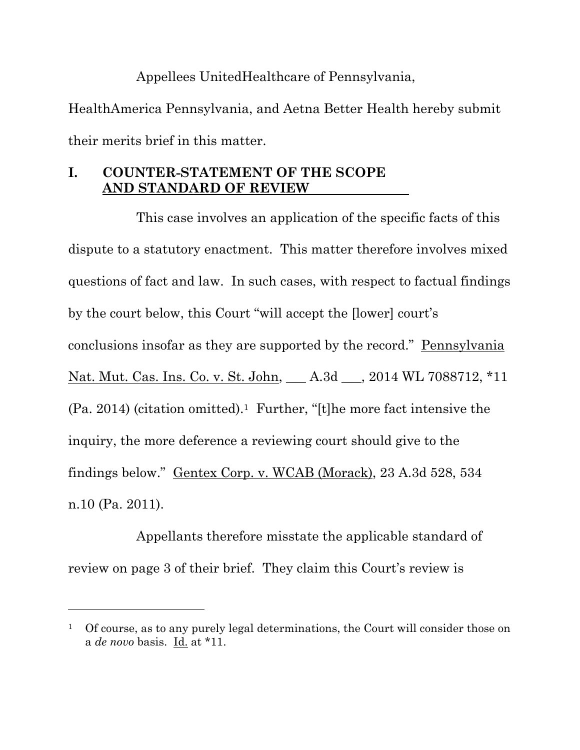## Appellees UnitedHealthcare of Pennsylvania,

HealthAmerica Pennsylvania, and Aetna Better Health hereby submit their merits brief in this matter.

### **I. COUNTER-STATEMENT OF THE SCOPE AND STANDARD OF REVIEW**

This case involves an application of the specific facts of this dispute to a statutory enactment. This matter therefore involves mixed questions of fact and law. In such cases, with respect to factual findings by the court below, this Court "will accept the [lower] court's conclusions insofar as they are supported by the record." Pennsylvania Nat. Mut. Cas. Ins. Co. v. St. John, \_\_\_ A.3d \_\_\_, 2014 WL 7088712, \*11  $(Pa. 2014)$  (citation omitted).<sup>1</sup> Further, "[t]he more fact intensive the inquiry, the more deference a reviewing court should give to the findings below." Gentex Corp. v. WCAB (Morack), 23 A.3d 528, 534 n.10 (Pa. 2011).

Appellants therefore misstate the applicable standard of review on page 3 of their brief. They claim this Court's review is

 $\overline{a}$ 

<sup>1</sup> Of course, as to any purely legal determinations, the Court will consider those on a *de novo* basis. Id. at \*11.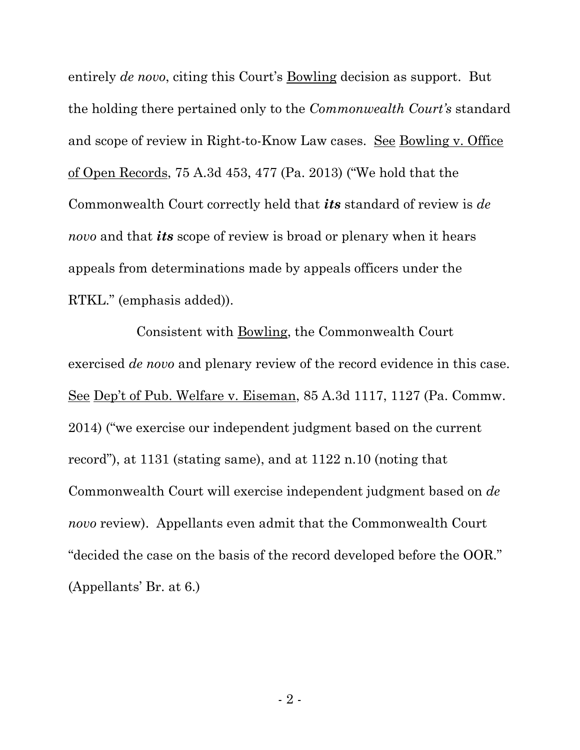entirely *de novo*, citing this Court's **Bowling** decision as support. But the holding there pertained only to the *Commonwealth Court's* standard and scope of review in Right-to-Know Law cases. See Bowling v. Office of Open Records, 75 A.3d 453, 477 (Pa. 2013) ("We hold that the Commonwealth Court correctly held that *its* standard of review is *de novo* and that *its* scope of review is broad or plenary when it hears appeals from determinations made by appeals officers under the RTKL." (emphasis added)).

Consistent with Bowling, the Commonwealth Court exercised *de novo* and plenary review of the record evidence in this case. See Dep't of Pub. Welfare v. Eiseman, 85 A.3d 1117, 1127 (Pa. Commw. 2014) ("we exercise our independent judgment based on the current record"), at 1131 (stating same), and at 1122 n.10 (noting that Commonwealth Court will exercise independent judgment based on *de novo* review). Appellants even admit that the Commonwealth Court "decided the case on the basis of the record developed before the OOR." (Appellants' Br. at 6.)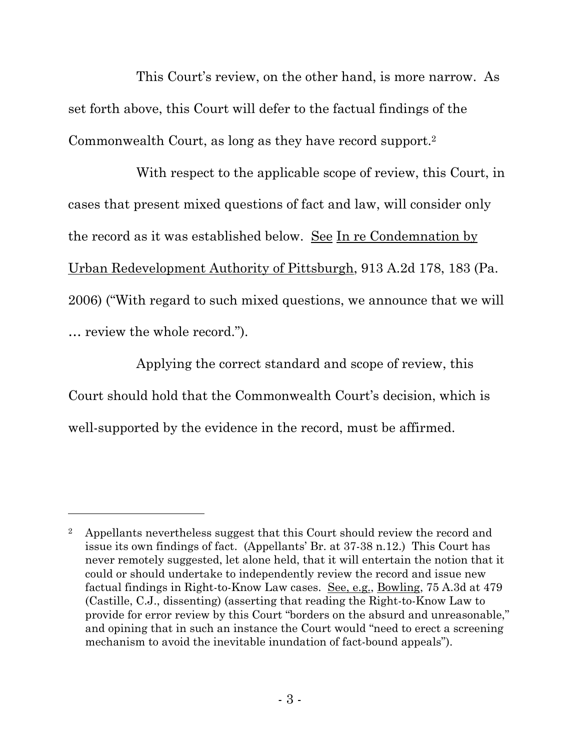This Court's review, on the other hand, is more narrow. As set forth above, this Court will defer to the factual findings of the Commonwealth Court, as long as they have record support.<sup>2</sup>

With respect to the applicable scope of review, this Court, in cases that present mixed questions of fact and law, will consider only the record as it was established below. See In re Condemnation by Urban Redevelopment Authority of Pittsburgh, 913 A.2d 178, 183 (Pa. 2006) ("With regard to such mixed questions, we announce that we will … review the whole record.").

Applying the correct standard and scope of review, this Court should hold that the Commonwealth Court's decision, which is well-supported by the evidence in the record, must be affirmed.

 $\overline{a}$ 

<sup>2</sup> Appellants nevertheless suggest that this Court should review the record and issue its own findings of fact. (Appellants' Br. at 37-38 n.12.) This Court has never remotely suggested, let alone held, that it will entertain the notion that it could or should undertake to independently review the record and issue new factual findings in Right-to-Know Law cases. See, e.g., Bowling, 75 A.3d at 479 (Castille, C.J., dissenting) (asserting that reading the Right-to-Know Law to provide for error review by this Court "borders on the absurd and unreasonable," and opining that in such an instance the Court would "need to erect a screening mechanism to avoid the inevitable inundation of fact-bound appeals").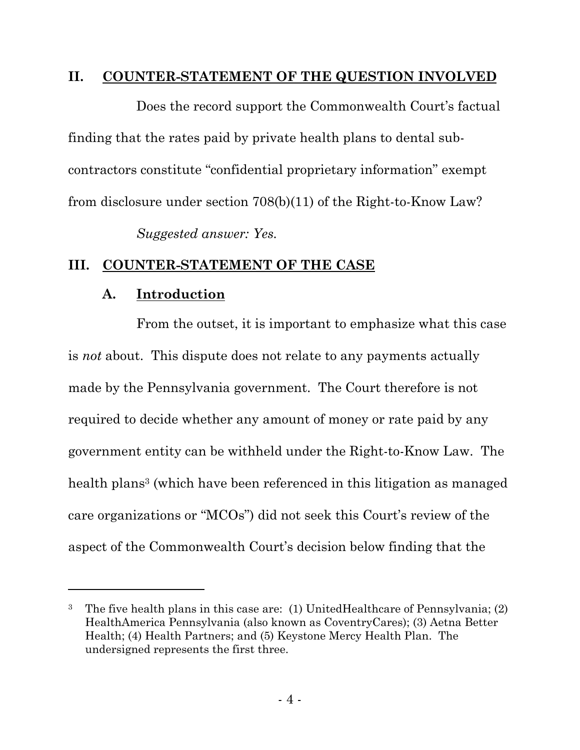### **II. COUNTER-STATEMENT OF THE QUESTION INVOLVED**

Does the record support the Commonwealth Court's factual finding that the rates paid by private health plans to dental subcontractors constitute "confidential proprietary information" exempt from disclosure under section 708(b)(11) of the Right-to-Know Law?

*Suggested answer: Yes.*

### **III. COUNTER-STATEMENT OF THE CASE**

## **A. Introduction**

l

From the outset, it is important to emphasize what this case is *not* about. This dispute does not relate to any payments actually made by the Pennsylvania government. The Court therefore is not required to decide whether any amount of money or rate paid by any government entity can be withheld under the Right-to-Know Law. The health plans<sup>3</sup> (which have been referenced in this litigation as managed care organizations or "MCOs") did not seek this Court's review of the aspect of the Commonwealth Court's decision below finding that the

<sup>3</sup> The five health plans in this case are: (1) UnitedHealthcare of Pennsylvania; (2) HealthAmerica Pennsylvania (also known as CoventryCares); (3) Aetna Better Health; (4) Health Partners; and (5) Keystone Mercy Health Plan. The undersigned represents the first three.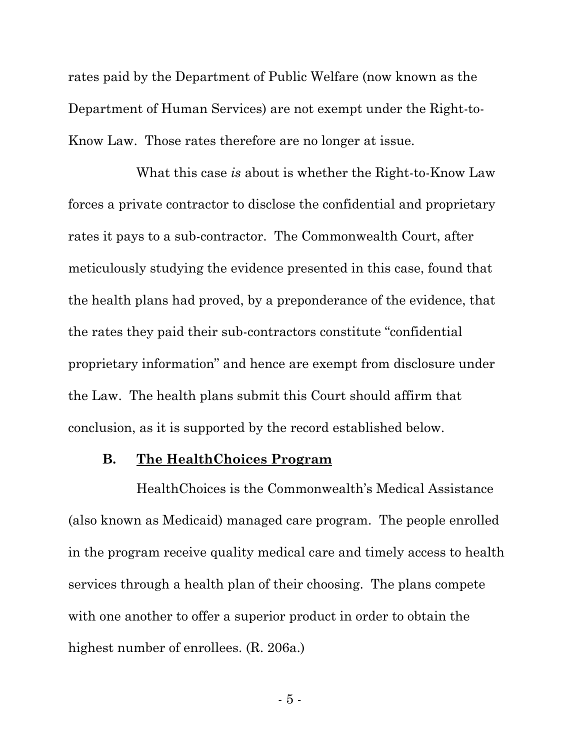rates paid by the Department of Public Welfare (now known as the Department of Human Services) are not exempt under the Right-to-Know Law. Those rates therefore are no longer at issue.

What this case *is* about is whether the Right-to-Know Law forces a private contractor to disclose the confidential and proprietary rates it pays to a sub-contractor. The Commonwealth Court, after meticulously studying the evidence presented in this case, found that the health plans had proved, by a preponderance of the evidence, that the rates they paid their sub-contractors constitute "confidential proprietary information" and hence are exempt from disclosure under the Law. The health plans submit this Court should affirm that conclusion, as it is supported by the record established below.

#### **B. The HealthChoices Program**

HealthChoices is the Commonwealth's Medical Assistance (also known as Medicaid) managed care program. The people enrolled in the program receive quality medical care and timely access to health services through a health plan of their choosing. The plans compete with one another to offer a superior product in order to obtain the highest number of enrollees. (R. 206a.)

- 5 -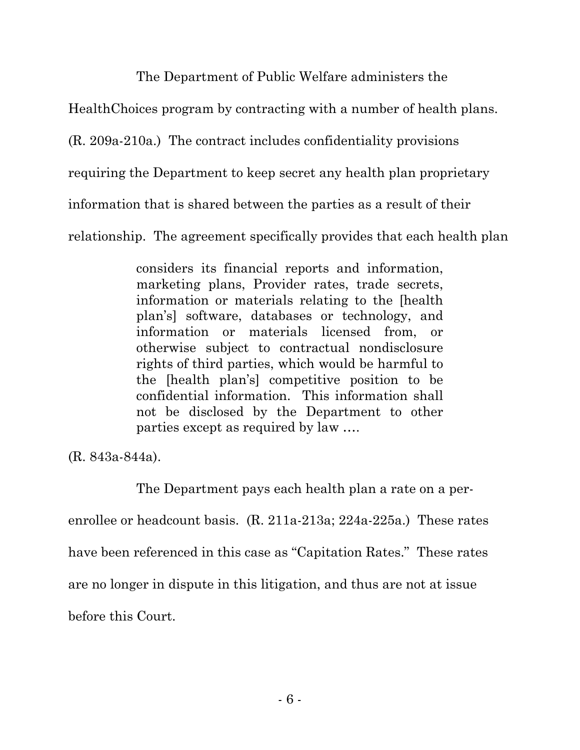The Department of Public Welfare administers the

HealthChoices program by contracting with a number of health plans.

(R. 209a-210a.) The contract includes confidentiality provisions

requiring the Department to keep secret any health plan proprietary

information that is shared between the parties as a result of their

relationship. The agreement specifically provides that each health plan

considers its financial reports and information, marketing plans, Provider rates, trade secrets, information or materials relating to the [health plan's] software, databases or technology, and information or materials licensed from, or otherwise subject to contractual nondisclosure rights of third parties, which would be harmful to the [health plan's] competitive position to be confidential information. This information shall not be disclosed by the Department to other parties except as required by law ….

(R. 843a-844a).

The Department pays each health plan a rate on a perenrollee or headcount basis. (R. 211a-213a; 224a-225a.) These rates have been referenced in this case as "Capitation Rates." These rates are no longer in dispute in this litigation, and thus are not at issue before this Court.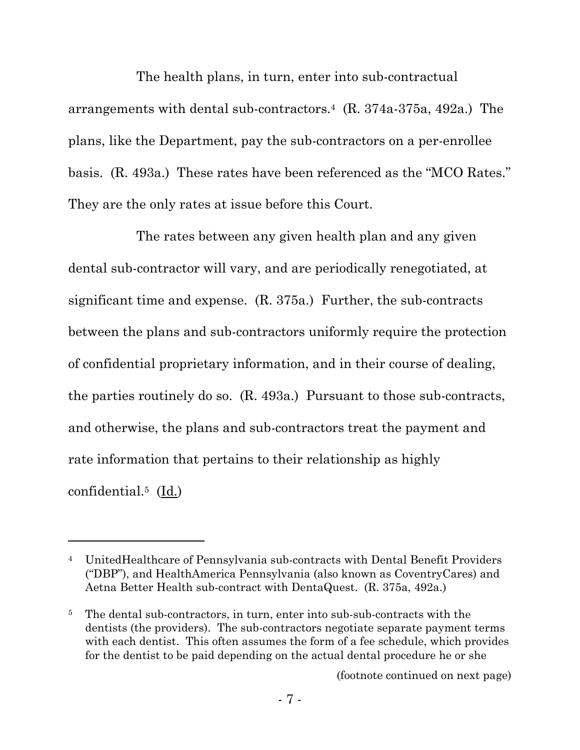The health plans, in turn, enter into sub-contractual arrangements with dental sub-contractors.4 (R. 374a-375a, 492a.) The plans, like the Department, pay the sub-contractors on a per-enrollee basis. (R. 493a.) These rates have been referenced as the "MCO Rates." They are the only rates at issue before this Court.

The rates between any given health plan and any given dental sub-contractor will vary, and are periodically renegotiated, at significant time and expense. (R. 375a.) Further, the sub-contracts between the plans and sub-contractors uniformly require the protection of confidential proprietary information, and in their course of dealing, the parties routinely do so. (R. 493a.) Pursuant to those sub-contracts, and otherwise, the plans and sub-contractors treat the payment and rate information that pertains to their relationship as highly confidential.5 (Id.)

l

(footnote continued on next page)

<sup>4</sup> UnitedHealthcare of Pennsylvania sub-contracts with Dental Benefit Providers ("DBP"), and HealthAmerica Pennsylvania (also known as CoventryCares) and Aetna Better Health sub-contract with DentaQuest. (R. 375a, 492a.)

<sup>5</sup> The dental sub-contractors, in turn, enter into sub-sub-contracts with the dentists (the providers). The sub-contractors negotiate separate payment terms with each dentist. This often assumes the form of a fee schedule, which provides for the dentist to be paid depending on the actual dental procedure he or she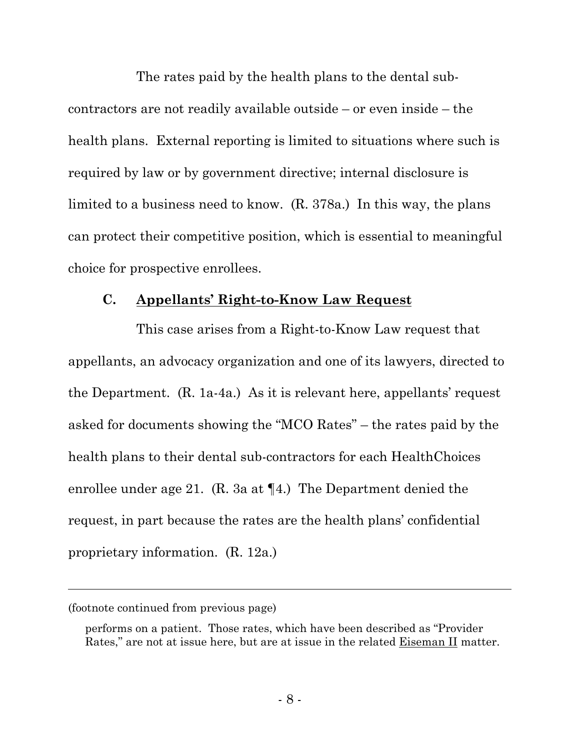The rates paid by the health plans to the dental subcontractors are not readily available outside – or even inside – the health plans. External reporting is limited to situations where such is required by law or by government directive; internal disclosure is limited to a business need to know. (R. 378a.) In this way, the plans can protect their competitive position, which is essential to meaningful choice for prospective enrollees.

#### **C. Appellants' Right-to-Know Law Request**

This case arises from a Right-to-Know Law request that appellants, an advocacy organization and one of its lawyers, directed to the Department. (R. 1a-4a.) As it is relevant here, appellants' request asked for documents showing the "MCO Rates" – the rates paid by the health plans to their dental sub-contractors for each HealthChoices enrollee under age 21. (R. 3a at ¶4.) The Department denied the request, in part because the rates are the health plans' confidential proprietary information. (R. 12a.)

 $\overline{a}$ 

<sup>(</sup>footnote continued from previous page)

performs on a patient. Those rates, which have been described as "Provider Rates," are not at issue here, but are at issue in the related Eiseman II matter.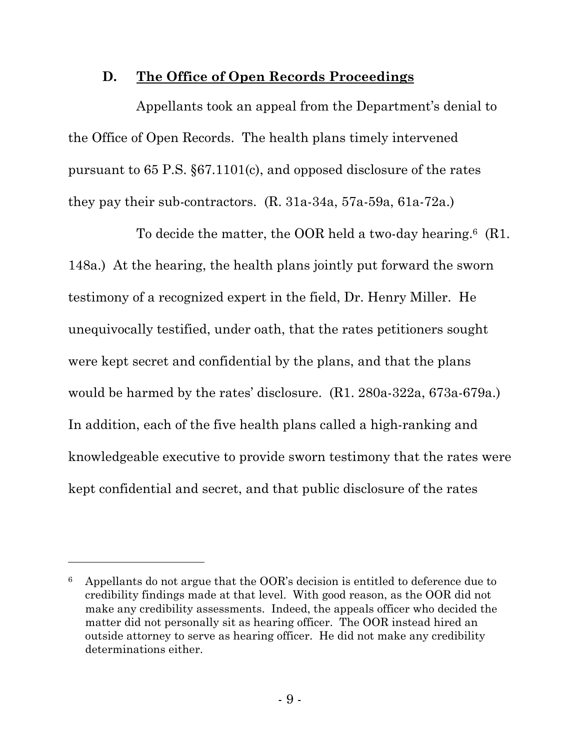### **D. The Office of Open Records Proceedings**

Appellants took an appeal from the Department's denial to the Office of Open Records. The health plans timely intervened pursuant to 65 P.S. §67.1101(c), and opposed disclosure of the rates they pay their sub-contractors. (R. 31a-34a, 57a-59a, 61a-72a.)

To decide the matter, the OOR held a two-day hearing.<sup>6</sup> (R1. 148a.) At the hearing, the health plans jointly put forward the sworn testimony of a recognized expert in the field, Dr. Henry Miller. He unequivocally testified, under oath, that the rates petitioners sought were kept secret and confidential by the plans, and that the plans would be harmed by the rates' disclosure. (R1. 280a-322a, 673a-679a.) In addition, each of the five health plans called a high-ranking and knowledgeable executive to provide sworn testimony that the rates were kept confidential and secret, and that public disclosure of the rates

l

 $6$  Appellants do not argue that the OOR's decision is entitled to deference due to credibility findings made at that level. With good reason, as the OOR did not make any credibility assessments. Indeed, the appeals officer who decided the matter did not personally sit as hearing officer. The OOR instead hired an outside attorney to serve as hearing officer. He did not make any credibility determinations either.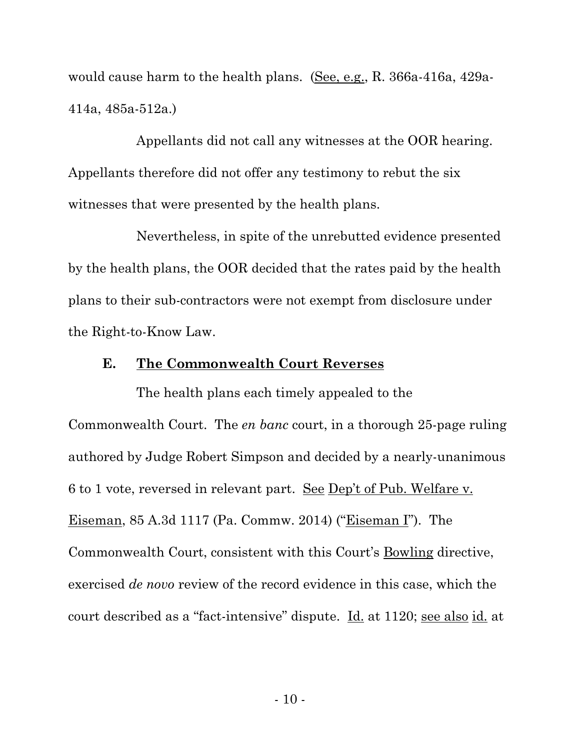would cause harm to the health plans. (See, e.g., R. 366a-416a, 429a-414a, 485a-512a.)

Appellants did not call any witnesses at the OOR hearing. Appellants therefore did not offer any testimony to rebut the six witnesses that were presented by the health plans.

Nevertheless, in spite of the unrebutted evidence presented by the health plans, the OOR decided that the rates paid by the health plans to their sub-contractors were not exempt from disclosure under the Right-to-Know Law.

#### **E. The Commonwealth Court Reverses**

The health plans each timely appealed to the Commonwealth Court. The *en banc* court, in a thorough 25-page ruling authored by Judge Robert Simpson and decided by a nearly-unanimous 6 to 1 vote, reversed in relevant part. See Dep't of Pub. Welfare v. Eiseman, 85 A.3d 1117 (Pa. Commw. 2014) ("Eiseman I"). The Commonwealth Court, consistent with this Court's Bowling directive, exercised *de novo* review of the record evidence in this case, which the court described as a "fact-intensive" dispute. Id. at 1120; see also id. at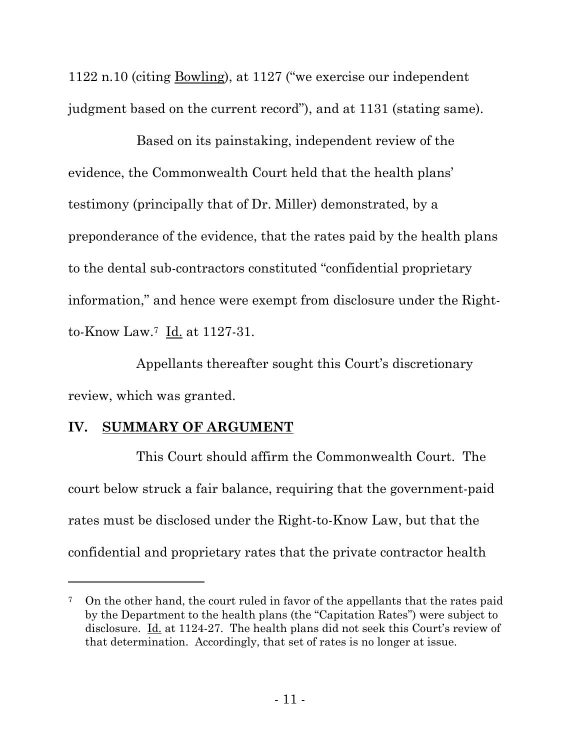1122 n.10 (citing <u>Bowling</u>), at 1127 ("we exercise our independent" judgment based on the current record"), and at 1131 (stating same).

Based on its painstaking, independent review of the evidence, the Commonwealth Court held that the health plans' testimony (principally that of Dr. Miller) demonstrated, by a preponderance of the evidence, that the rates paid by the health plans to the dental sub-contractors constituted "confidential proprietary information," and hence were exempt from disclosure under the Rightto-Know Law.7 Id. at 1127-31.

Appellants thereafter sought this Court's discretionary review, which was granted.

### **IV. SUMMARY OF ARGUMENT**

 $\overline{a}$ 

This Court should affirm the Commonwealth Court. The court below struck a fair balance, requiring that the government-paid rates must be disclosed under the Right-to-Know Law, but that the confidential and proprietary rates that the private contractor health

<sup>7</sup> On the other hand, the court ruled in favor of the appellants that the rates paid by the Department to the health plans (the "Capitation Rates") were subject to disclosure. Id. at 1124-27. The health plans did not seek this Court's review of that determination. Accordingly, that set of rates is no longer at issue.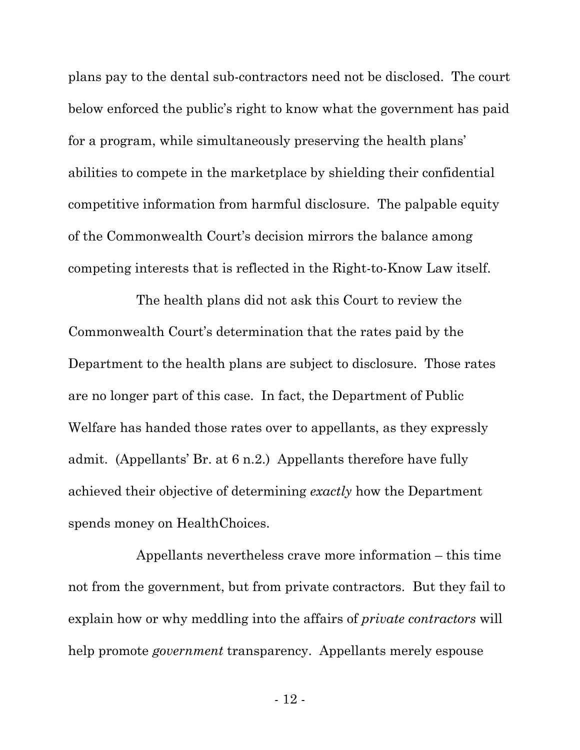plans pay to the dental sub-contractors need not be disclosed. The court below enforced the public's right to know what the government has paid for a program, while simultaneously preserving the health plans' abilities to compete in the marketplace by shielding their confidential competitive information from harmful disclosure. The palpable equity of the Commonwealth Court's decision mirrors the balance among competing interests that is reflected in the Right-to-Know Law itself.

The health plans did not ask this Court to review the Commonwealth Court's determination that the rates paid by the Department to the health plans are subject to disclosure. Those rates are no longer part of this case. In fact, the Department of Public Welfare has handed those rates over to appellants, as they expressly admit. (Appellants' Br. at 6 n.2.) Appellants therefore have fully achieved their objective of determining *exactly* how the Department spends money on HealthChoices.

Appellants nevertheless crave more information – this time not from the government, but from private contractors. But they fail to explain how or why meddling into the affairs of *private contractors* will help promote *government* transparency. Appellants merely espouse

- 12 -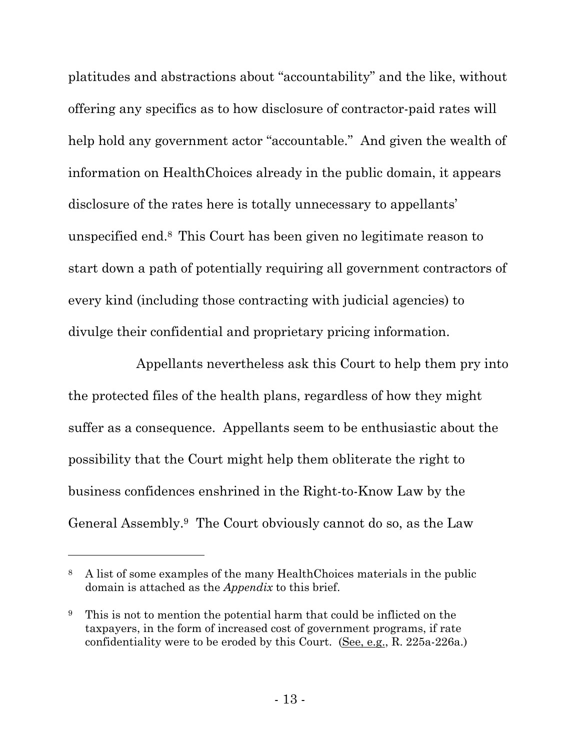platitudes and abstractions about "accountability" and the like, without offering any specifics as to how disclosure of contractor-paid rates will help hold any government actor "accountable." And given the wealth of information on HealthChoices already in the public domain, it appears disclosure of the rates here is totally unnecessary to appellants' unspecified end.<sup>8</sup> This Court has been given no legitimate reason to start down a path of potentially requiring all government contractors of every kind (including those contracting with judicial agencies) to divulge their confidential and proprietary pricing information.

Appellants nevertheless ask this Court to help them pry into the protected files of the health plans, regardless of how they might suffer as a consequence. Appellants seem to be enthusiastic about the possibility that the Court might help them obliterate the right to business confidences enshrined in the Right-to-Know Law by the General Assembly.9 The Court obviously cannot do so, as the Law

l

<sup>8</sup> A list of some examples of the many HealthChoices materials in the public domain is attached as the *Appendix* to this brief.

<sup>9</sup> This is not to mention the potential harm that could be inflicted on the taxpayers, in the form of increased cost of government programs, if rate confidentiality were to be eroded by this Court. (See, e.g., R. 225a-226a.)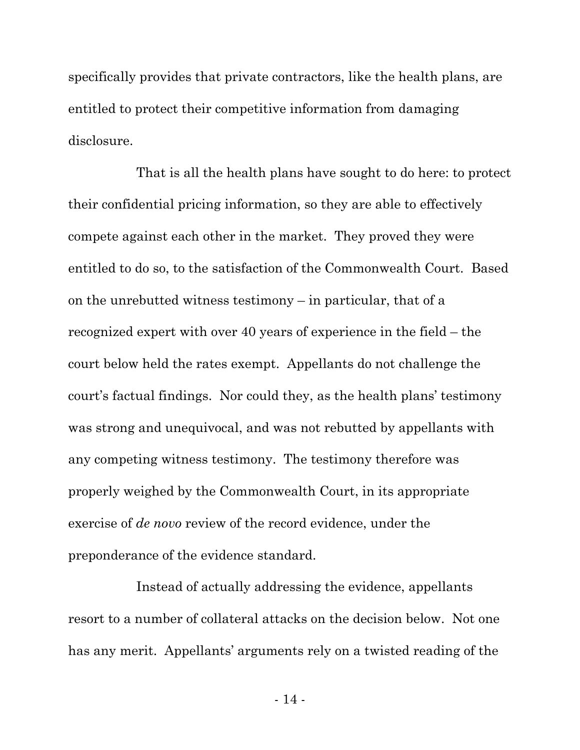specifically provides that private contractors, like the health plans, are entitled to protect their competitive information from damaging disclosure.

That is all the health plans have sought to do here: to protect their confidential pricing information, so they are able to effectively compete against each other in the market. They proved they were entitled to do so, to the satisfaction of the Commonwealth Court. Based on the unrebutted witness testimony – in particular, that of a recognized expert with over 40 years of experience in the field – the court below held the rates exempt. Appellants do not challenge the court's factual findings. Nor could they, as the health plans' testimony was strong and unequivocal, and was not rebutted by appellants with any competing witness testimony. The testimony therefore was properly weighed by the Commonwealth Court, in its appropriate exercise of *de novo* review of the record evidence, under the preponderance of the evidence standard.

Instead of actually addressing the evidence, appellants resort to a number of collateral attacks on the decision below. Not one has any merit. Appellants' arguments rely on a twisted reading of the

- 14 -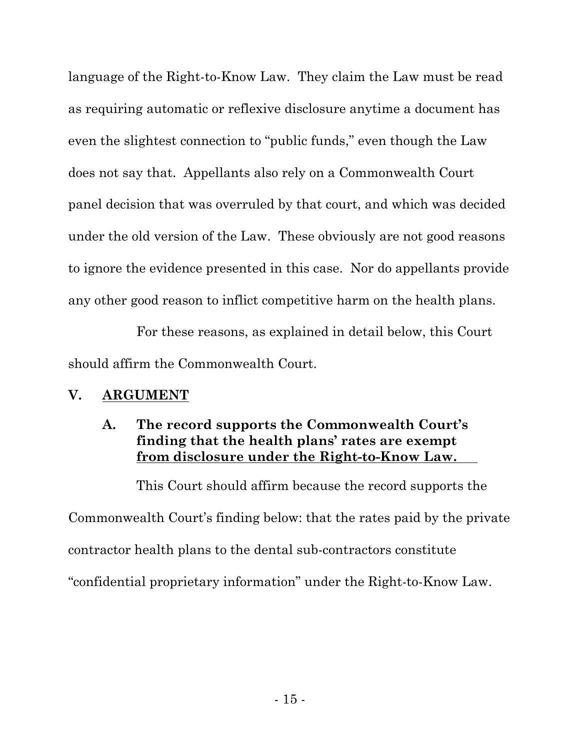language of the Right-to-Know Law. They claim the Law must be read as requiring automatic or reflexive disclosure anytime a document has even the slightest connection to "public funds," even though the Law does not say that. Appellants also rely on a Commonwealth Court panel decision that was overruled by that court, and which was decided under the old version of the Law. These obviously are not good reasons to ignore the evidence presented in this case. Nor do appellants provide any other good reason to inflict competitive harm on the health plans.

For these reasons, as explained in detail below, this Court should affirm the Commonwealth Court.

# **V. ARGUMENT**

# **A. The record supports the Commonwealth Court's finding that the health plans' rates are exempt from disclosure under the Right-to-Know Law.**

This Court should affirm because the record supports the Commonwealth Court's finding below: that the rates paid by the private contractor health plans to the dental sub-contractors constitute "confidential proprietary information" under the Right-to-Know Law.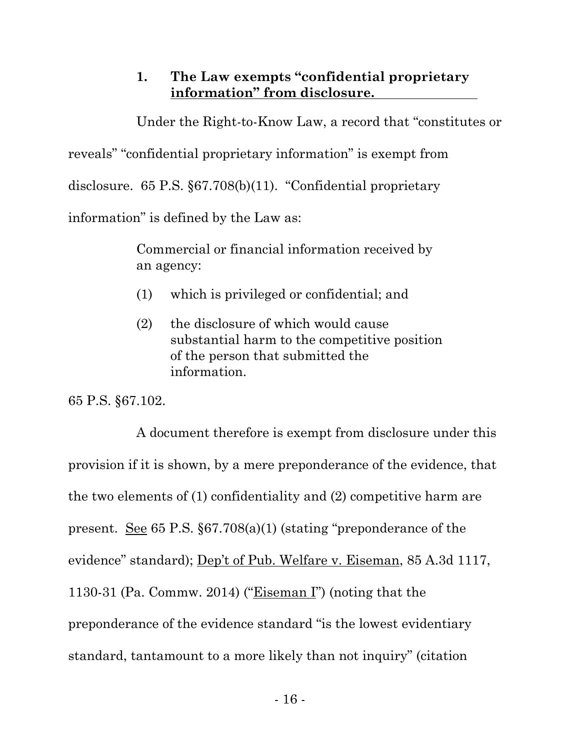# **1. The Law exempts "confidential proprietary information" from disclosure.**

Under the Right-to-Know Law, a record that "constitutes or

reveals" "confidential proprietary information" is exempt from

disclosure. 65 P.S. §67.708(b)(11). "Confidential proprietary

information" is defined by the Law as:

Commercial or financial information received by an agency:

- (1) which is privileged or confidential; and
- (2) the disclosure of which would cause substantial harm to the competitive position of the person that submitted the information.

65 P.S. §67.102.

A document therefore is exempt from disclosure under this provision if it is shown, by a mere preponderance of the evidence, that the two elements of (1) confidentiality and (2) competitive harm are present. See 65 P.S. §67.708(a)(1) (stating "preponderance of the evidence" standard); Dep't of Pub. Welfare v. Eiseman, 85 A.3d 1117, 1130-31 (Pa. Commw. 2014) ("Eiseman I") (noting that the preponderance of the evidence standard "is the lowest evidentiary standard, tantamount to a more likely than not inquiry" (citation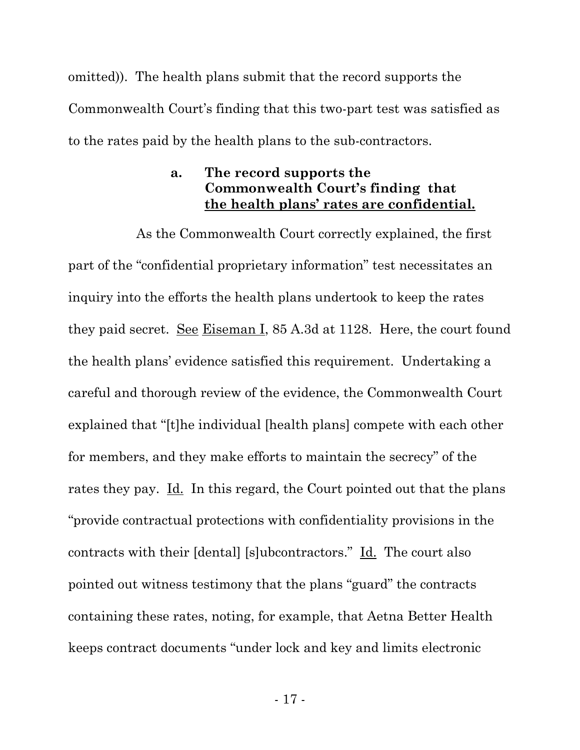omitted)). The health plans submit that the record supports the Commonwealth Court's finding that this two-part test was satisfied as to the rates paid by the health plans to the sub-contractors.

# **a. The record supports the Commonwealth Court's finding that the health plans' rates are confidential.**

As the Commonwealth Court correctly explained, the first part of the "confidential proprietary information" test necessitates an inquiry into the efforts the health plans undertook to keep the rates they paid secret. See Eiseman I, 85 A.3d at 1128. Here, the court found the health plans' evidence satisfied this requirement. Undertaking a careful and thorough review of the evidence, the Commonwealth Court explained that "[t]he individual [health plans] compete with each other for members, and they make efforts to maintain the secrecy" of the rates they pay. Id. In this regard, the Court pointed out that the plans "provide contractual protections with confidentiality provisions in the contracts with their [dental] [s]ubcontractors." Id. The court also pointed out witness testimony that the plans "guard" the contracts containing these rates, noting, for example, that Aetna Better Health keeps contract documents "under lock and key and limits electronic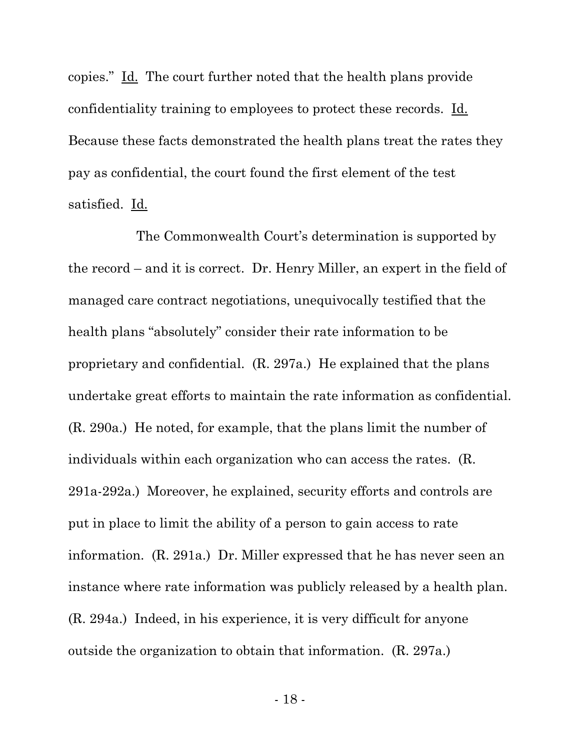copies." Id. The court further noted that the health plans provide confidentiality training to employees to protect these records. Id. Because these facts demonstrated the health plans treat the rates they pay as confidential, the court found the first element of the test satisfied. Id.

The Commonwealth Court's determination is supported by the record – and it is correct. Dr. Henry Miller, an expert in the field of managed care contract negotiations, unequivocally testified that the health plans "absolutely" consider their rate information to be proprietary and confidential. (R. 297a.) He explained that the plans undertake great efforts to maintain the rate information as confidential. (R. 290a.) He noted, for example, that the plans limit the number of individuals within each organization who can access the rates. (R. 291a-292a.) Moreover, he explained, security efforts and controls are put in place to limit the ability of a person to gain access to rate information. (R. 291a.) Dr. Miller expressed that he has never seen an instance where rate information was publicly released by a health plan. (R. 294a.) Indeed, in his experience, it is very difficult for anyone outside the organization to obtain that information. (R. 297a.)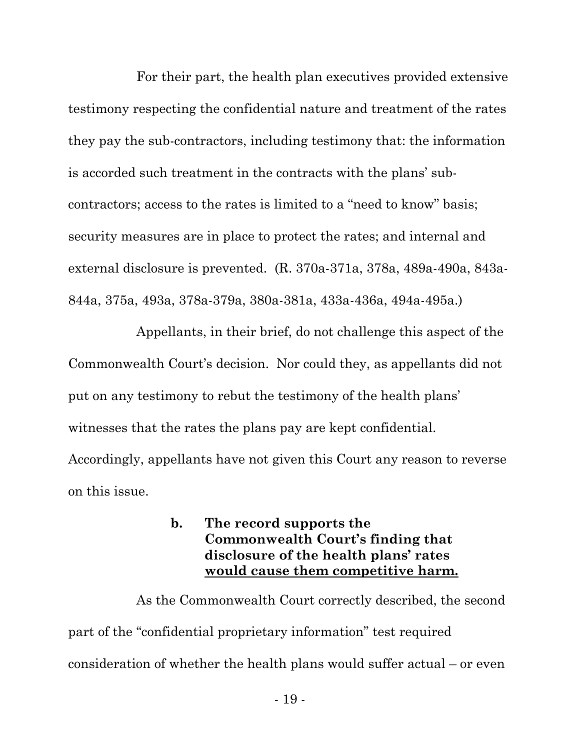For their part, the health plan executives provided extensive testimony respecting the confidential nature and treatment of the rates they pay the sub-contractors, including testimony that: the information is accorded such treatment in the contracts with the plans' subcontractors; access to the rates is limited to a "need to know" basis; security measures are in place to protect the rates; and internal and external disclosure is prevented. (R. 370a-371a, 378a, 489a-490a, 843a-844a, 375a, 493a, 378a-379a, 380a-381a, 433a-436a, 494a-495a.)

Appellants, in their brief, do not challenge this aspect of the Commonwealth Court's decision. Nor could they, as appellants did not put on any testimony to rebut the testimony of the health plans' witnesses that the rates the plans pay are kept confidential. Accordingly, appellants have not given this Court any reason to reverse on this issue.

### **b. The record supports the Commonwealth Court's finding that disclosure of the health plans' rates would cause them competitive harm.**

As the Commonwealth Court correctly described, the second part of the "confidential proprietary information" test required consideration of whether the health plans would suffer actual – or even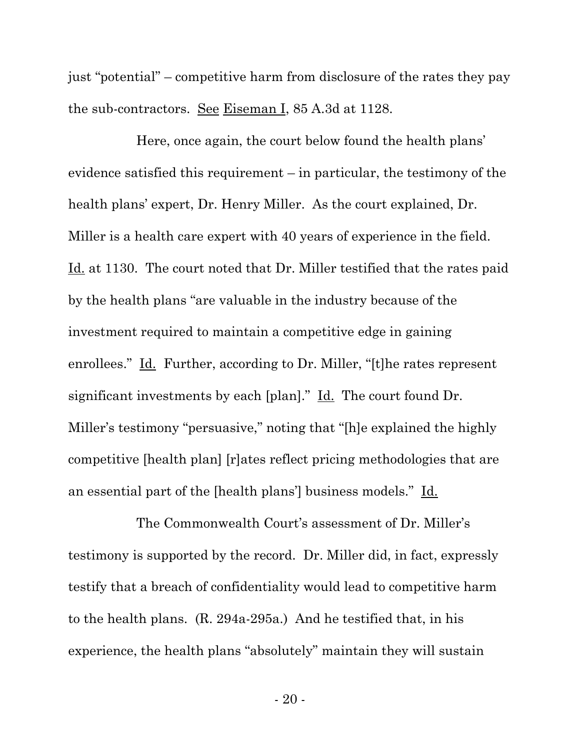just "potential" – competitive harm from disclosure of the rates they pay the sub-contractors. See Eiseman I, 85 A.3d at 1128.

Here, once again, the court below found the health plans' evidence satisfied this requirement – in particular, the testimony of the health plans' expert, Dr. Henry Miller. As the court explained, Dr. Miller is a health care expert with 40 years of experience in the field. Id. at 1130. The court noted that Dr. Miller testified that the rates paid by the health plans "are valuable in the industry because of the investment required to maintain a competitive edge in gaining enrollees." Id. Further, according to Dr. Miller, "[t]he rates represent significant investments by each [plan]." Id. The court found Dr. Miller's testimony "persuasive," noting that "[h]e explained the highly competitive [health plan] [r]ates reflect pricing methodologies that are an essential part of the [health plans'] business models." Id.

The Commonwealth Court's assessment of Dr. Miller's testimony is supported by the record. Dr. Miller did, in fact, expressly testify that a breach of confidentiality would lead to competitive harm to the health plans. (R. 294a-295a.) And he testified that, in his experience, the health plans "absolutely" maintain they will sustain

- 20 -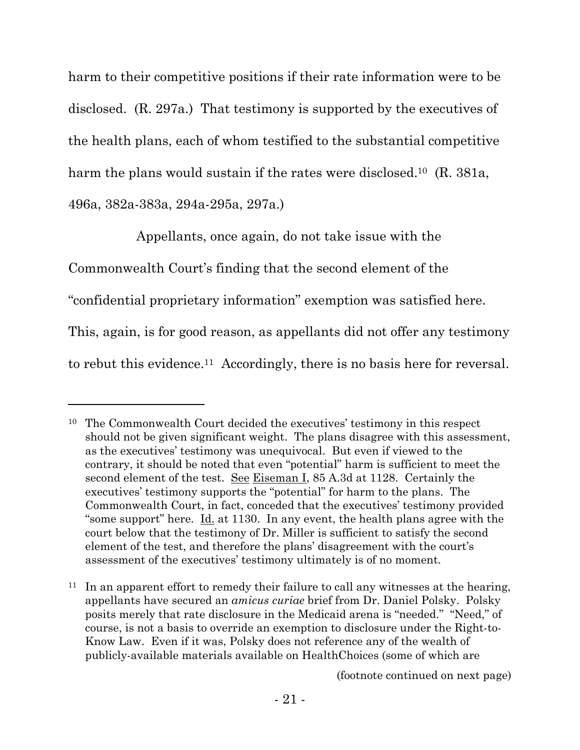harm to their competitive positions if their rate information were to be disclosed. (R. 297a.) That testimony is supported by the executives of the health plans, each of whom testified to the substantial competitive harm the plans would sustain if the rates were disclosed.<sup>10</sup> (R. 381a, 496a, 382a-383a, 294a-295a, 297a.)

Appellants, once again, do not take issue with the

Commonwealth Court's finding that the second element of the

 $\overline{a}$ 

"confidential proprietary information" exemption was satisfied here.

This, again, is for good reason, as appellants did not offer any testimony

to rebut this evidence.11 Accordingly, there is no basis here for reversal.

<sup>11</sup> In an apparent effort to remedy their failure to call any witnesses at the hearing, appellants have secured an *amicus curiae* brief from Dr. Daniel Polsky. Polsky posits merely that rate disclosure in the Medicaid arena is "needed." "Need," of course, is not a basis to override an exemption to disclosure under the Right-to-Know Law. Even if it was, Polsky does not reference any of the wealth of publicly-available materials available on HealthChoices (some of which are

(footnote continued on next page)

<sup>10</sup> The Commonwealth Court decided the executives' testimony in this respect should not be given significant weight. The plans disagree with this assessment, as the executives' testimony was unequivocal. But even if viewed to the contrary, it should be noted that even "potential" harm is sufficient to meet the second element of the test. See Eiseman I, 85 A.3d at 1128. Certainly the executives' testimony supports the "potential" for harm to the plans. The Commonwealth Court, in fact, conceded that the executives' testimony provided "some support" here.  $\underline{Id}$  at 1130. In any event, the health plans agree with the court below that the testimony of Dr. Miller is sufficient to satisfy the second element of the test, and therefore the plans' disagreement with the court's assessment of the executives' testimony ultimately is of no moment.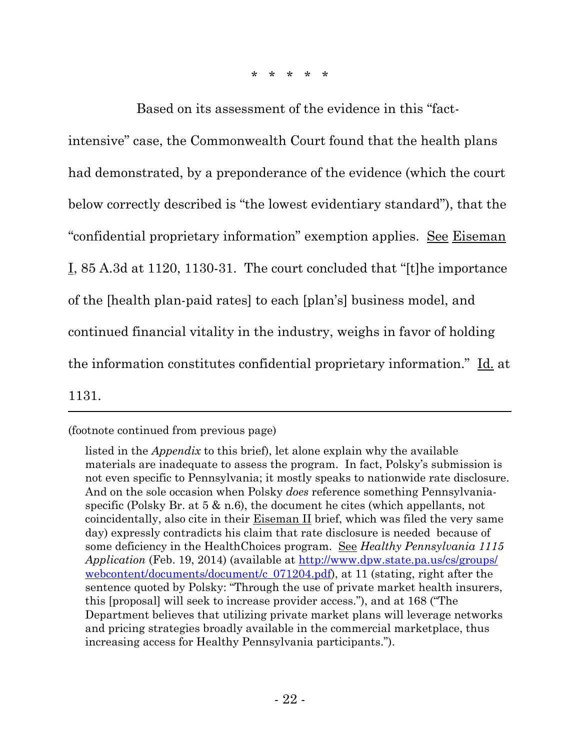\* \* \* \* \*

Based on its assessment of the evidence in this "factintensive" case, the Commonwealth Court found that the health plans had demonstrated, by a preponderance of the evidence (which the court below correctly described is "the lowest evidentiary standard"), that the "confidential proprietary information" exemption applies. See Eiseman I, 85 A.3d at 1120, 1130-31. The court concluded that "[t]he importance of the [health plan-paid rates] to each [plan's] business model, and continued financial vitality in the industry, weighs in favor of holding the information constitutes confidential proprietary information." Id. at

1131.

 $\overline{a}$ 

(footnote continued from previous page)

listed in the *Appendix* to this brief), let alone explain why the available materials are inadequate to assess the program. In fact, Polsky's submission is not even specific to Pennsylvania; it mostly speaks to nationwide rate disclosure. And on the sole occasion when Polsky *does* reference something Pennsylvaniaspecific (Polsky Br. at 5 & n.6), the document he cites (which appellants, not coincidentally, also cite in their Eiseman II brief, which was filed the very same day) expressly contradicts his claim that rate disclosure is needed because of some deficiency in the HealthChoices program. See *Healthy Pennsylvania 1115 Application* (Feb. 19, 2014) (available at http://www.dpw.state.pa.us/cs/groups/ webcontent/documents/document/c  $071204.pdf$ , at 11 (stating, right after the sentence quoted by Polsky: "Through the use of private market health insurers, this [proposal] will seek to increase provider access."), and at 168 ("The Department believes that utilizing private market plans will leverage networks and pricing strategies broadly available in the commercial marketplace, thus increasing access for Healthy Pennsylvania participants.").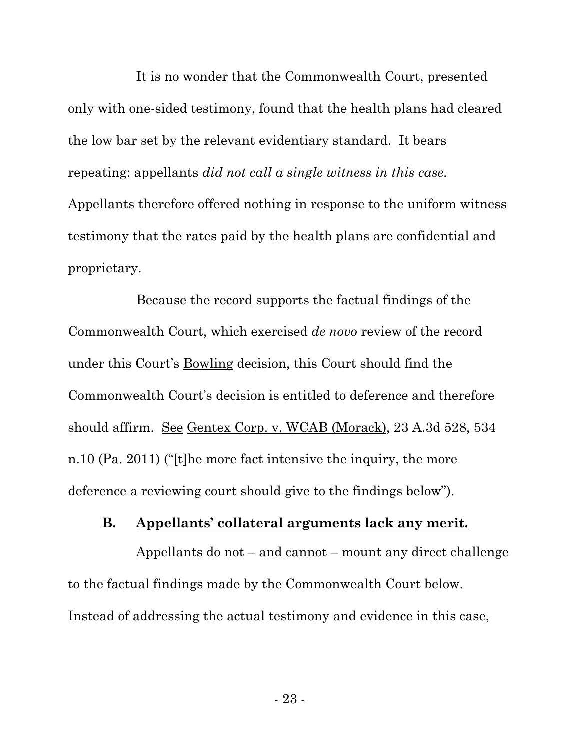It is no wonder that the Commonwealth Court, presented only with one-sided testimony, found that the health plans had cleared the low bar set by the relevant evidentiary standard. It bears repeating: appellants *did not call a single witness in this case*. Appellants therefore offered nothing in response to the uniform witness testimony that the rates paid by the health plans are confidential and proprietary.

Because the record supports the factual findings of the Commonwealth Court, which exercised *de novo* review of the record under this Court's Bowling decision, this Court should find the Commonwealth Court's decision is entitled to deference and therefore should affirm. See Gentex Corp. v. WCAB (Morack), 23 A.3d 528, 534 n.10 (Pa. 2011) ("[t]he more fact intensive the inquiry, the more deference a reviewing court should give to the findings below").

#### **B. Appellants' collateral arguments lack any merit.**

Appellants do not – and cannot – mount any direct challenge to the factual findings made by the Commonwealth Court below. Instead of addressing the actual testimony and evidence in this case,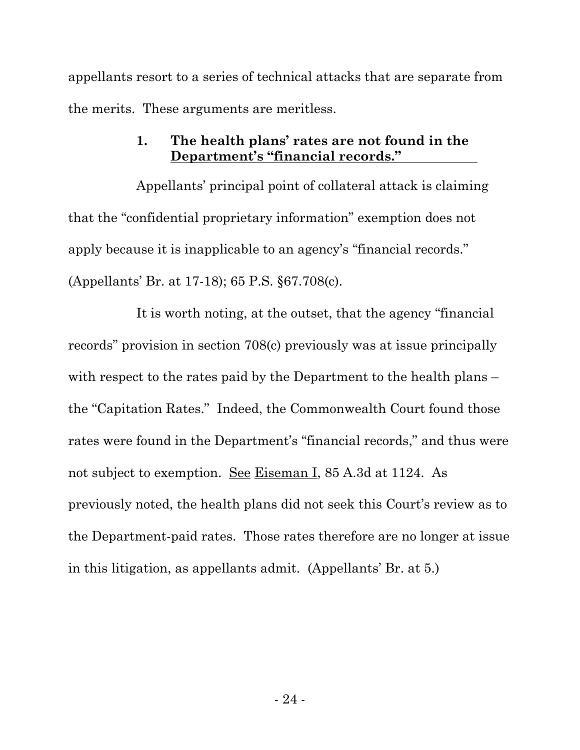appellants resort to a series of technical attacks that are separate from the merits. These arguments are meritless.

## **1. The health plans' rates are not found in the Department's "financial records."**

Appellants' principal point of collateral attack is claiming that the "confidential proprietary information" exemption does not apply because it is inapplicable to an agency's "financial records." (Appellants' Br. at 17-18); 65 P.S. §67.708(c).

It is worth noting, at the outset, that the agency "financial records" provision in section 708(c) previously was at issue principally with respect to the rates paid by the Department to the health plans – the "Capitation Rates." Indeed, the Commonwealth Court found those rates were found in the Department's "financial records," and thus were not subject to exemption. <u>See Eiseman I,</u> 85 A.3d at 1124. As previously noted, the health plans did not seek this Court's review as to the Department-paid rates. Those rates therefore are no longer at issue in this litigation, as appellants admit. (Appellants' Br. at 5.)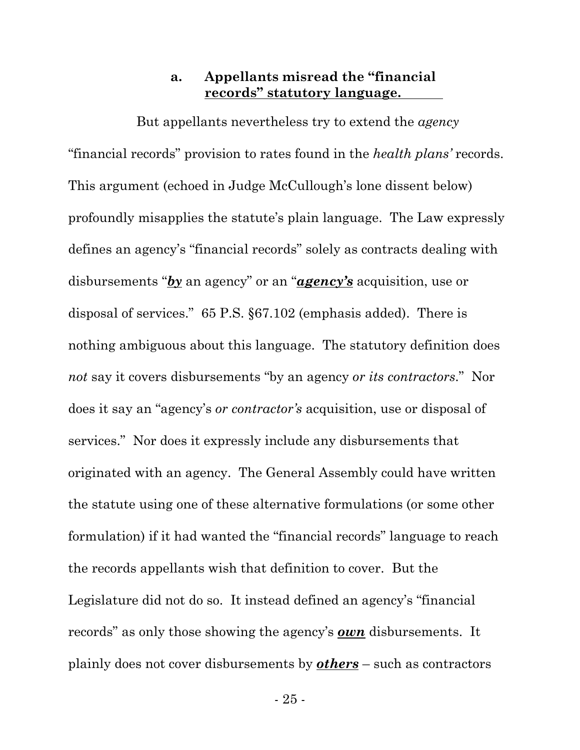### **a. Appellants misread the "financial records" statutory language.**

But appellants nevertheless try to extend the *agency* "financial records" provision to rates found in the *health plans'* records. This argument (echoed in Judge McCullough's lone dissent below) profoundly misapplies the statute's plain language. The Law expressly defines an agency's "financial records" solely as contracts dealing with disbursements "*by* an agency" or an "*agency's* acquisition, use or disposal of services." 65 P.S. §67.102 (emphasis added). There is nothing ambiguous about this language. The statutory definition does *not* say it covers disbursements "by an agency *or its contractors*." Nor does it say an "agency's *or contractor's* acquisition, use or disposal of services." Nor does it expressly include any disbursements that originated with an agency. The General Assembly could have written the statute using one of these alternative formulations (or some other formulation) if it had wanted the "financial records" language to reach the records appellants wish that definition to cover. But the Legislature did not do so. It instead defined an agency's "financial records" as only those showing the agency's *own* disbursements. It plainly does not cover disbursements by *others* – such as contractors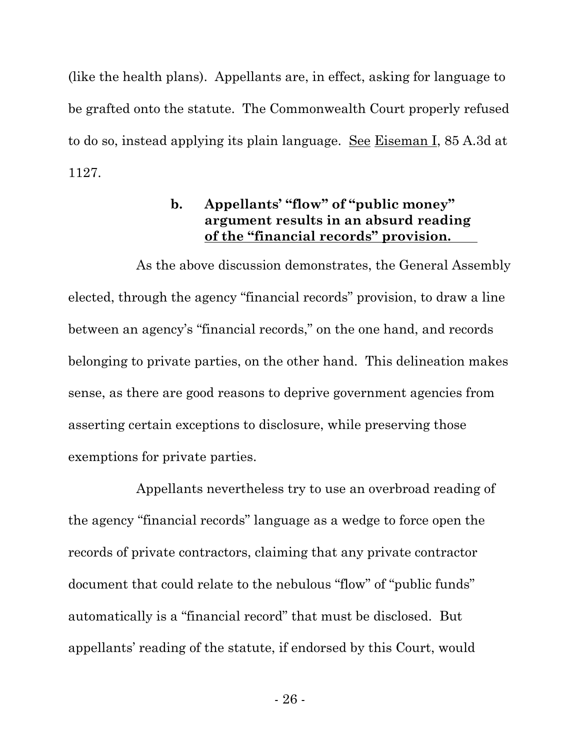(like the health plans). Appellants are, in effect, asking for language to be grafted onto the statute. The Commonwealth Court properly refused to do so, instead applying its plain language. See Eiseman I, 85 A.3d at 1127.

# **b. Appellants' "flow" of "public money" argument results in an absurd reading of the "financial records" provision.**

As the above discussion demonstrates, the General Assembly elected, through the agency "financial records" provision, to draw a line between an agency's "financial records," on the one hand, and records belonging to private parties, on the other hand. This delineation makes sense, as there are good reasons to deprive government agencies from asserting certain exceptions to disclosure, while preserving those exemptions for private parties.

Appellants nevertheless try to use an overbroad reading of the agency "financial records" language as a wedge to force open the records of private contractors, claiming that any private contractor document that could relate to the nebulous "flow" of "public funds" automatically is a "financial record" that must be disclosed. But appellants' reading of the statute, if endorsed by this Court, would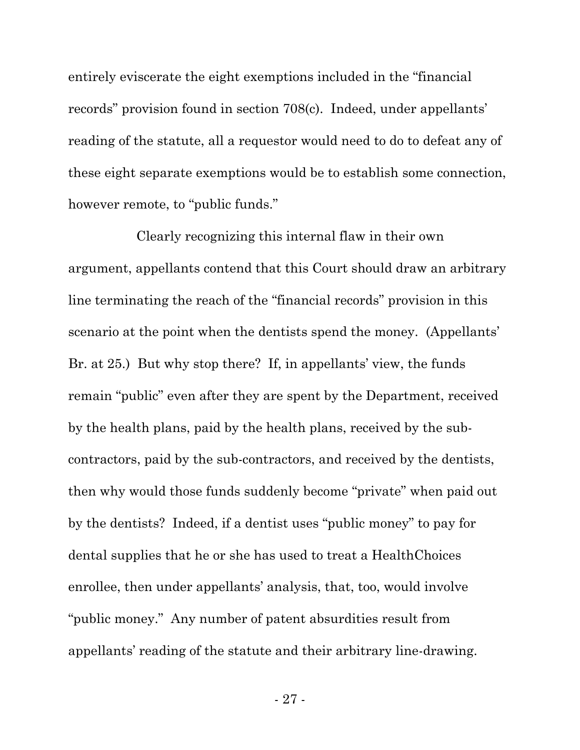entirely eviscerate the eight exemptions included in the "financial records" provision found in section 708(c). Indeed, under appellants' reading of the statute, all a requestor would need to do to defeat any of these eight separate exemptions would be to establish some connection, however remote, to "public funds."

Clearly recognizing this internal flaw in their own argument, appellants contend that this Court should draw an arbitrary line terminating the reach of the "financial records" provision in this scenario at the point when the dentists spend the money. (Appellants' Br. at 25.) But why stop there? If, in appellants' view, the funds remain "public" even after they are spent by the Department, received by the health plans, paid by the health plans, received by the subcontractors, paid by the sub-contractors, and received by the dentists, then why would those funds suddenly become "private" when paid out by the dentists? Indeed, if a dentist uses "public money" to pay for dental supplies that he or she has used to treat a HealthChoices enrollee, then under appellants' analysis, that, too, would involve "public money." Any number of patent absurdities result from appellants' reading of the statute and their arbitrary line-drawing.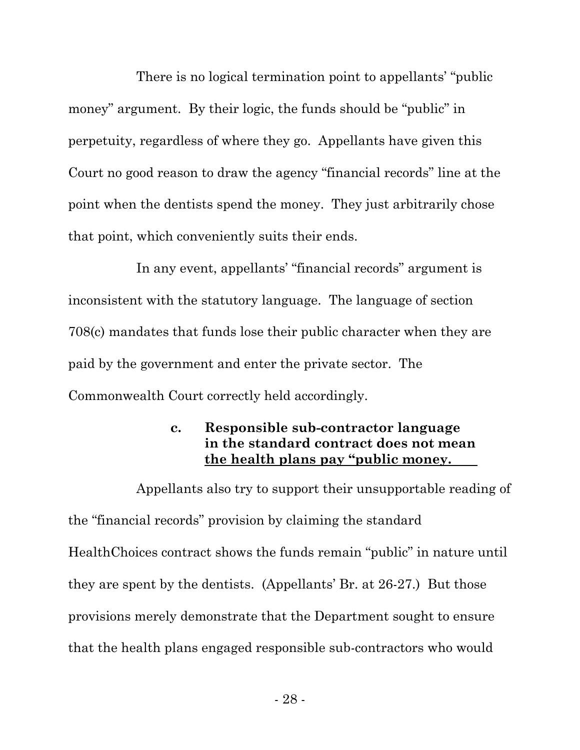There is no logical termination point to appellants' "public money" argument. By their logic, the funds should be "public" in perpetuity, regardless of where they go. Appellants have given this Court no good reason to draw the agency "financial records" line at the point when the dentists spend the money. They just arbitrarily chose that point, which conveniently suits their ends.

In any event, appellants' "financial records" argument is inconsistent with the statutory language. The language of section 708(c) mandates that funds lose their public character when they are paid by the government and enter the private sector. The Commonwealth Court correctly held accordingly.

# **c. Responsible sub-contractor language in the standard contract does not mean the health plans pay "public money.**

Appellants also try to support their unsupportable reading of the "financial records" provision by claiming the standard HealthChoices contract shows the funds remain "public" in nature until they are spent by the dentists. (Appellants' Br. at 26-27.) But those provisions merely demonstrate that the Department sought to ensure that the health plans engaged responsible sub-contractors who would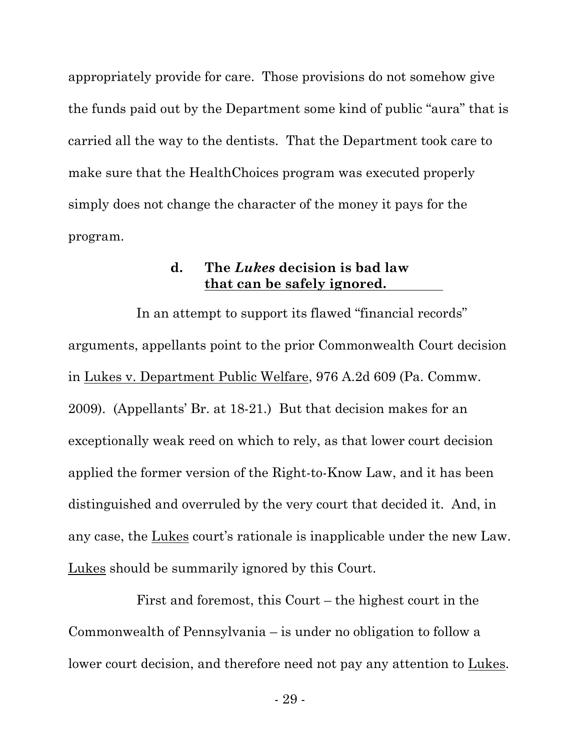appropriately provide for care. Those provisions do not somehow give the funds paid out by the Department some kind of public "aura" that is carried all the way to the dentists. That the Department took care to make sure that the HealthChoices program was executed properly simply does not change the character of the money it pays for the program.

### **d. The** *Lukes* **decision is bad law that can be safely ignored.**

In an attempt to support its flawed "financial records" arguments, appellants point to the prior Commonwealth Court decision in Lukes v. Department Public Welfare, 976 A.2d 609 (Pa. Commw. 2009). (Appellants' Br. at 18-21.) But that decision makes for an exceptionally weak reed on which to rely, as that lower court decision applied the former version of the Right-to-Know Law, and it has been distinguished and overruled by the very court that decided it. And, in any case, the Lukes court's rationale is inapplicable under the new Law. Lukes should be summarily ignored by this Court.

First and foremost, this Court – the highest court in the Commonwealth of Pennsylvania – is under no obligation to follow a lower court decision, and therefore need not pay any attention to Lukes.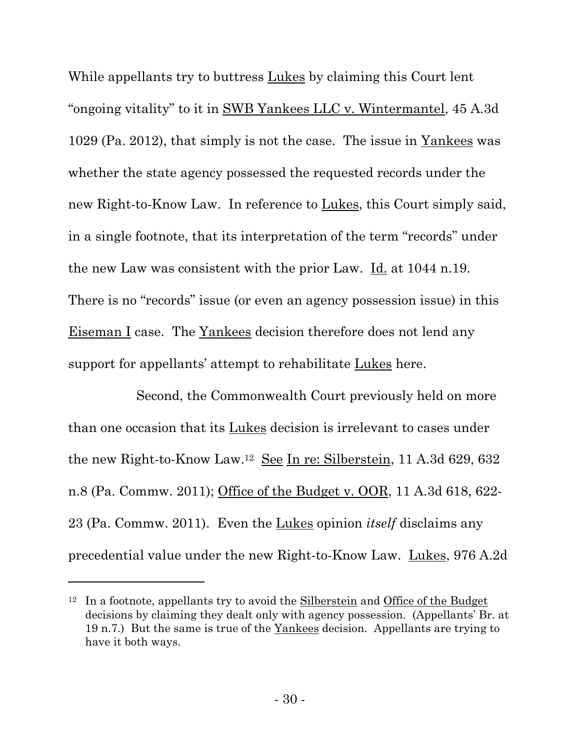While appellants try to buttress Lukes by claiming this Court lent "ongoing vitality" to it in SWB Yankees LLC v. Wintermantel, 45 A.3d 1029 (Pa. 2012), that simply is not the case. The issue in Yankees was whether the state agency possessed the requested records under the new Right-to-Know Law. In reference to Lukes, this Court simply said, in a single footnote, that its interpretation of the term "records" under the new Law was consistent with the prior Law. Id. at 1044 n.19. There is no "records" issue (or even an agency possession issue) in this Eiseman I case. The Yankees decision therefore does not lend any support for appellants' attempt to rehabilitate Lukes here.

Second, the Commonwealth Court previously held on more than one occasion that its Lukes decision is irrelevant to cases under the new Right-to-Know Law.12 See In re: Silberstein, 11 A.3d 629, 632 n.8 (Pa. Commw. 2011); Office of the Budget v. OOR, 11 A.3d 618, 622- 23 (Pa. Commw. 2011). Even the Lukes opinion *itself* disclaims any precedential value under the new Right-to-Know Law. Lukes, 976 A.2d

 $\overline{a}$ 

<sup>12</sup> In a footnote, appellants try to avoid the Silberstein and Office of the Budget decisions by claiming they dealt only with agency possession. (Appellants' Br. at 19 n.7.) But the same is true of the Yankees decision. Appellants are trying to have it both ways.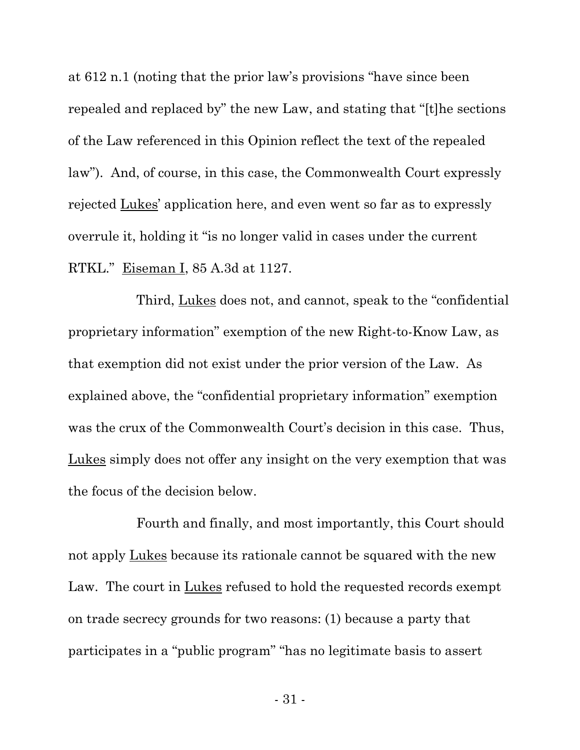at 612 n.1 (noting that the prior law's provisions "have since been repealed and replaced by" the new Law, and stating that "[t]he sections of the Law referenced in this Opinion reflect the text of the repealed law"). And, of course, in this case, the Commonwealth Court expressly rejected Lukes' application here, and even went so far as to expressly overrule it, holding it "is no longer valid in cases under the current RTKL." Eiseman I, 85 A.3d at 1127.

Third, Lukes does not, and cannot, speak to the "confidential proprietary information" exemption of the new Right-to-Know Law, as that exemption did not exist under the prior version of the Law. As explained above, the "confidential proprietary information" exemption was the crux of the Commonwealth Court's decision in this case. Thus, Lukes simply does not offer any insight on the very exemption that was the focus of the decision below.

Fourth and finally, and most importantly, this Court should not apply <u>Lukes</u> because its rationale cannot be squared with the new Law. The court in Lukes refused to hold the requested records exempt on trade secrecy grounds for two reasons: (1) because a party that participates in a "public program" "has no legitimate basis to assert

- 31 -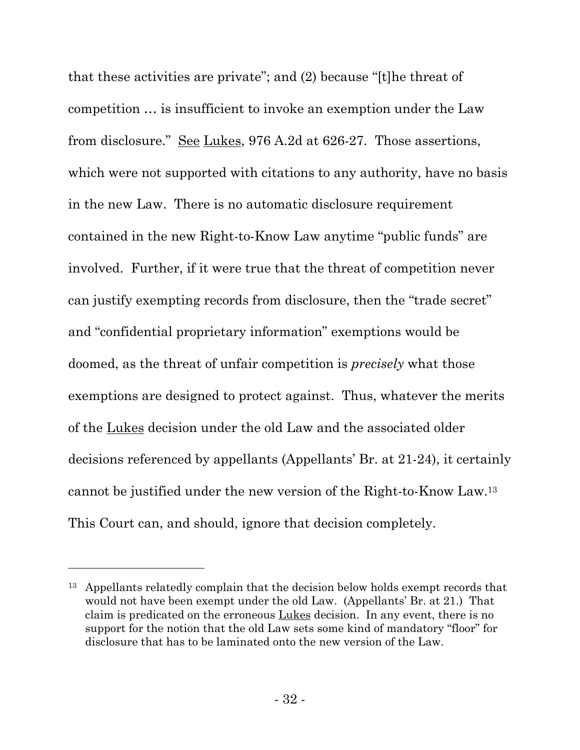that these activities are private"; and (2) because "[t]he threat of competition … is insufficient to invoke an exemption under the Law from disclosure." See Lukes, 976 A.2d at 626-27. Those assertions, which were not supported with citations to any authority, have no basis in the new Law. There is no automatic disclosure requirement contained in the new Right-to-Know Law anytime "public funds" are involved. Further, if it were true that the threat of competition never can justify exempting records from disclosure, then the "trade secret" and "confidential proprietary information" exemptions would be doomed, as the threat of unfair competition is *precisely* what those exemptions are designed to protect against. Thus, whatever the merits of the Lukes decision under the old Law and the associated older decisions referenced by appellants (Appellants' Br. at 21-24), it certainly cannot be justified under the new version of the Right-to-Know Law.<sup>13</sup> This Court can, and should, ignore that decision completely.

l

<sup>13</sup> Appellants relatedly complain that the decision below holds exempt records that would not have been exempt under the old Law. (Appellants' Br. at 21.) That claim is predicated on the erroneous Lukes decision. In any event, there is no support for the notion that the old Law sets some kind of mandatory "floor" for disclosure that has to be laminated onto the new version of the Law.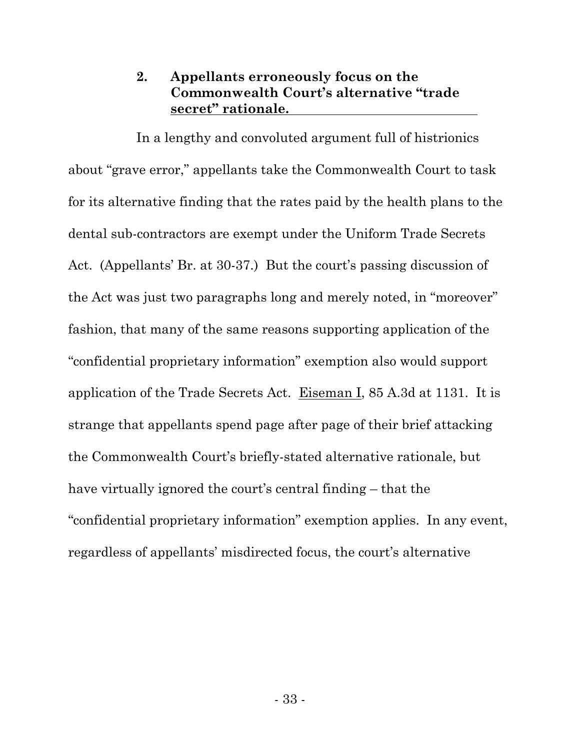# **2. Appellants erroneously focus on the Commonwealth Court's alternative "trade secret" rationale.**

In a lengthy and convoluted argument full of histrionics about "grave error," appellants take the Commonwealth Court to task for its alternative finding that the rates paid by the health plans to the dental sub-contractors are exempt under the Uniform Trade Secrets Act. (Appellants' Br. at 30-37.) But the court's passing discussion of the Act was just two paragraphs long and merely noted, in "moreover" fashion, that many of the same reasons supporting application of the "confidential proprietary information" exemption also would support application of the Trade Secrets Act. Eiseman I, 85 A.3d at 1131. It is strange that appellants spend page after page of their brief attacking the Commonwealth Court's briefly-stated alternative rationale, but have virtually ignored the court's central finding – that the "confidential proprietary information" exemption applies. In any event, regardless of appellants' misdirected focus, the court's alternative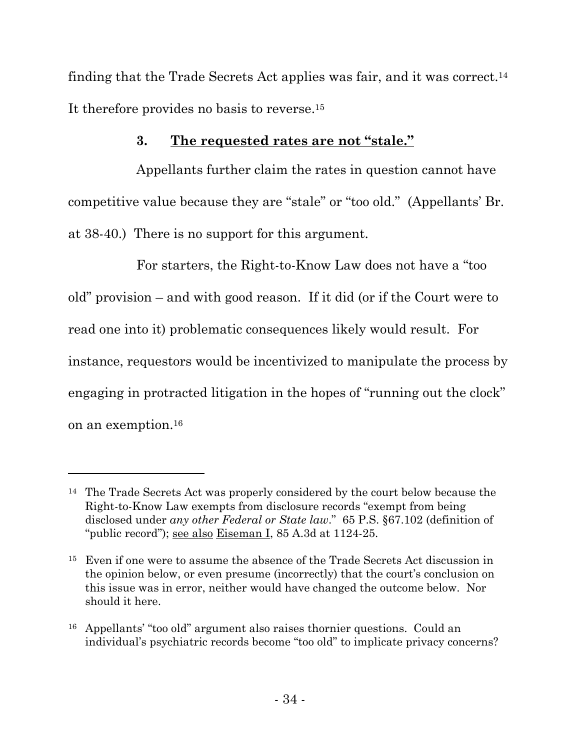finding that the Trade Secrets Act applies was fair, and it was correct.<sup>14</sup> It therefore provides no basis to reverse.<sup>15</sup>

# **3. The requested rates are not "stale."**

Appellants further claim the rates in question cannot have competitive value because they are "stale" or "too old." (Appellants' Br. at 38-40.) There is no support for this argument.

For starters, the Right-to-Know Law does not have a "too old" provision – and with good reason. If it did (or if the Court were to read one into it) problematic consequences likely would result. For instance, requestors would be incentivized to manipulate the process by engaging in protracted litigation in the hopes of "running out the clock" on an exemption.<sup>16</sup>

l

<sup>&</sup>lt;sup>14</sup> The Trade Secrets Act was properly considered by the court below because the Right-to-Know Law exempts from disclosure records "exempt from being disclosed under *any other Federal or State law*." 65 P.S. §67.102 (definition of "public record"); see also Eiseman I, 85 A.3d at 1124-25.

<sup>15</sup> Even if one were to assume the absence of the Trade Secrets Act discussion in the opinion below, or even presume (incorrectly) that the court's conclusion on this issue was in error, neither would have changed the outcome below. Nor should it here.

<sup>16</sup> Appellants' "too old" argument also raises thornier questions. Could an individual's psychiatric records become "too old" to implicate privacy concerns?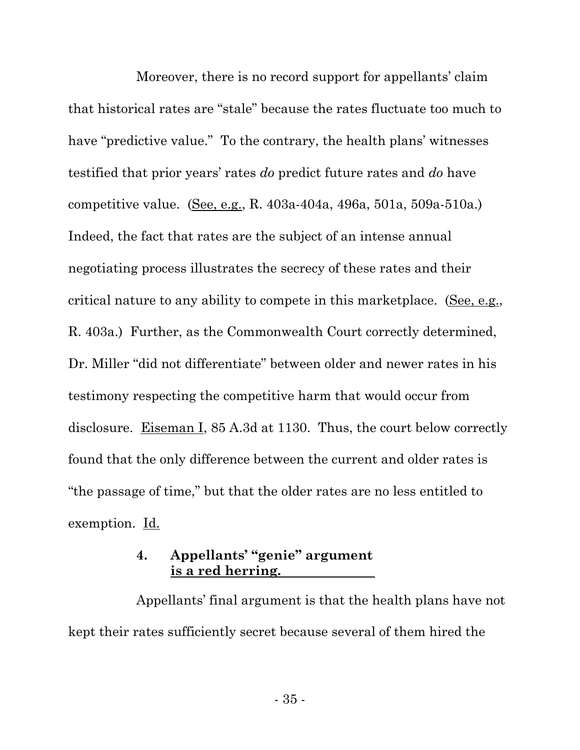Moreover, there is no record support for appellants' claim that historical rates are "stale" because the rates fluctuate too much to have "predictive value." To the contrary, the health plans' witnesses testified that prior years' rates *do* predict future rates and *do* have competitive value. (See, e.g., R. 403a-404a, 496a, 501a, 509a-510a.) Indeed, the fact that rates are the subject of an intense annual negotiating process illustrates the secrecy of these rates and their critical nature to any ability to compete in this marketplace. (See, e.g., R. 403a.) Further, as the Commonwealth Court correctly determined, Dr. Miller "did not differentiate" between older and newer rates in his testimony respecting the competitive harm that would occur from disclosure. Eiseman I, 85 A.3d at 1130. Thus, the court below correctly found that the only difference between the current and older rates is "the passage of time," but that the older rates are no less entitled to exemption. Id.

## **4. Appellants' "genie" argument is a red herring.**

Appellants' final argument is that the health plans have not kept their rates sufficiently secret because several of them hired the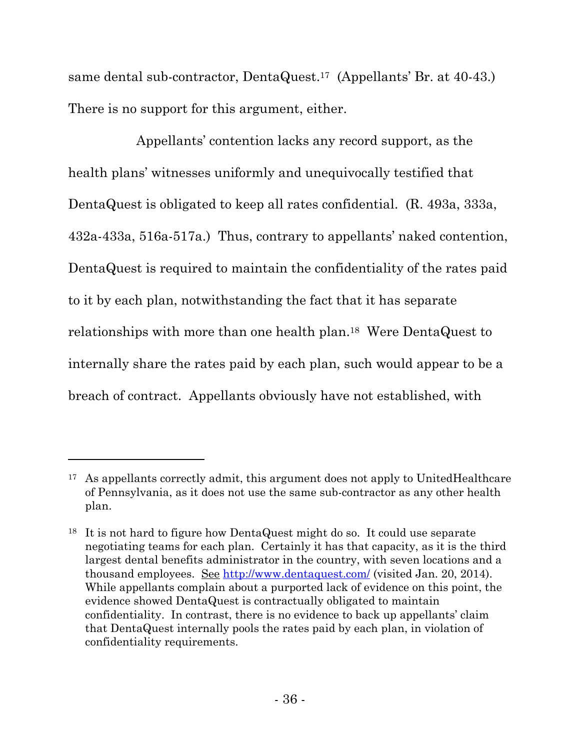same dental sub-contractor, DentaQuest.17 (Appellants' Br. at 40-43.) There is no support for this argument, either.

Appellants' contention lacks any record support, as the health plans' witnesses uniformly and unequivocally testified that DentaQuest is obligated to keep all rates confidential. (R. 493a, 333a, 432a-433a, 516a-517a.) Thus, contrary to appellants' naked contention, DentaQuest is required to maintain the confidentiality of the rates paid to it by each plan, notwithstanding the fact that it has separate relationships with more than one health plan.18 Were DentaQuest to internally share the rates paid by each plan, such would appear to be a breach of contract. Appellants obviously have not established, with

 $\overline{a}$ 

<sup>17</sup> As appellants correctly admit, this argument does not apply to UnitedHealthcare of Pennsylvania, as it does not use the same sub-contractor as any other health plan.

<sup>18</sup> It is not hard to figure how DentaQuest might do so. It could use separate negotiating teams for each plan. Certainly it has that capacity, as it is the third largest dental benefits administrator in the country, with seven locations and a thousand employees. See http://www.dentaquest.com/ (visited Jan. 20, 2014). While appellants complain about a purported lack of evidence on this point, the evidence showed DentaQuest is contractually obligated to maintain confidentiality. In contrast, there is no evidence to back up appellants' claim that DentaQuest internally pools the rates paid by each plan, in violation of confidentiality requirements.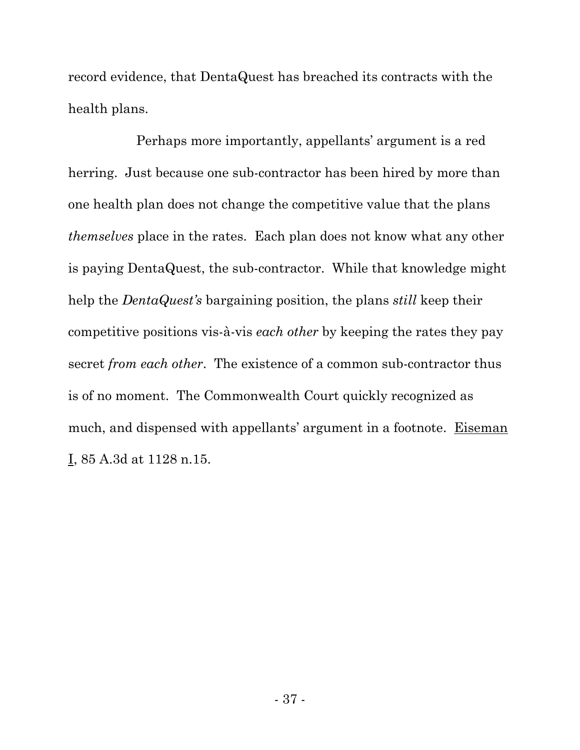record evidence, that DentaQuest has breached its contracts with the health plans.

Perhaps more importantly, appellants' argument is a red herring. Just because one sub-contractor has been hired by more than one health plan does not change the competitive value that the plans *themselves* place in the rates. Each plan does not know what any other is paying DentaQuest, the sub-contractor. While that knowledge might help the *DentaQuest's* bargaining position, the plans *still* keep their competitive positions vis-à-vis *each other* by keeping the rates they pay secret *from each other*. The existence of a common sub-contractor thus is of no moment. The Commonwealth Court quickly recognized as much, and dispensed with appellants' argument in a footnote. Eiseman I, 85 A.3d at 1128 n.15.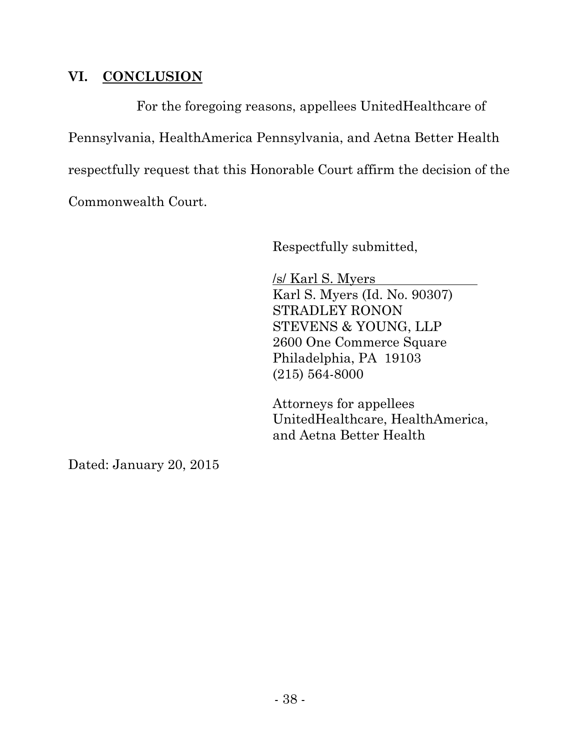## **VI. CONCLUSION**

For the foregoing reasons, appellees UnitedHealthcare of Pennsylvania, HealthAmerica Pennsylvania, and Aetna Better Health respectfully request that this Honorable Court affirm the decision of the Commonwealth Court.

Respectfully submitted,

/s/ Karl S. Myers Karl S. Myers (Id. No. 90307) STRADLEY RONON STEVENS & YOUNG, LLP 2600 One Commerce Square Philadelphia, PA 19103 (215) 564-8000

Attorneys for appellees UnitedHealthcare, HealthAmerica, and Aetna Better Health

Dated: January 20, 2015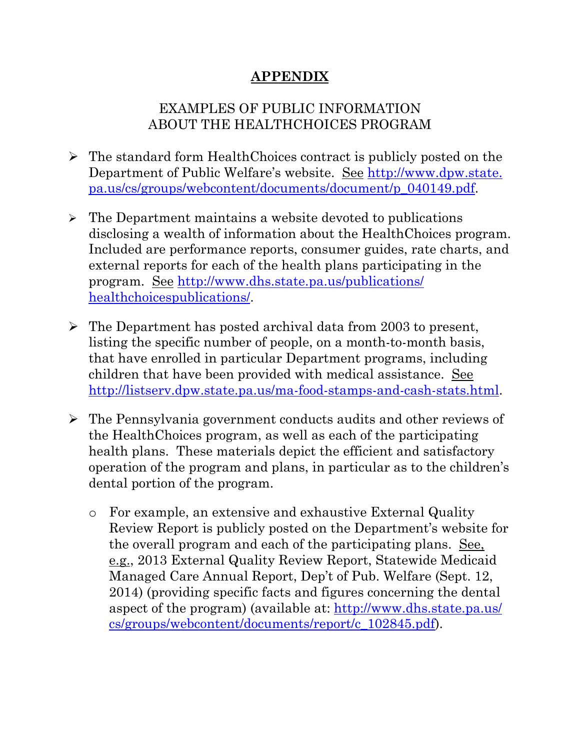# **APPENDIX**

# EXAMPLES OF PUBLIC INFORMATION ABOUT THE HEALTHCHOICES PROGRAM

- The standard form HealthChoices contract is publicly posted on the Department of Public Welfare's website. See http://www.dpw.state. pa.us/cs/groups/webcontent/documents/document/p\_040149.pdf.
- $\triangleright$  The Department maintains a website devoted to publications disclosing a wealth of information about the HealthChoices program. Included are performance reports, consumer guides, rate charts, and external reports for each of the health plans participating in the program. See http://www.dhs.state.pa.us/publications/ healthchoicespublications/.
- $\triangleright$  The Department has posted archival data from 2003 to present, listing the specific number of people, on a month-to-month basis, that have enrolled in particular Department programs, including children that have been provided with medical assistance. See http://listserv.dpw.state.pa.us/ma-food-stamps-and-cash-stats.html.
- The Pennsylvania government conducts audits and other reviews of the HealthChoices program, as well as each of the participating health plans. These materials depict the efficient and satisfactory operation of the program and plans, in particular as to the children's dental portion of the program.
	- o For example, an extensive and exhaustive External Quality Review Report is publicly posted on the Department's website for the overall program and each of the participating plans. See, e.g., 2013 External Quality Review Report, Statewide Medicaid Managed Care Annual Report, Dep't of Pub. Welfare (Sept. 12, 2014) (providing specific facts and figures concerning the dental aspect of the program) (available at: http://www.dhs.state.pa.us/ cs/groups/webcontent/documents/report/c\_102845.pdf).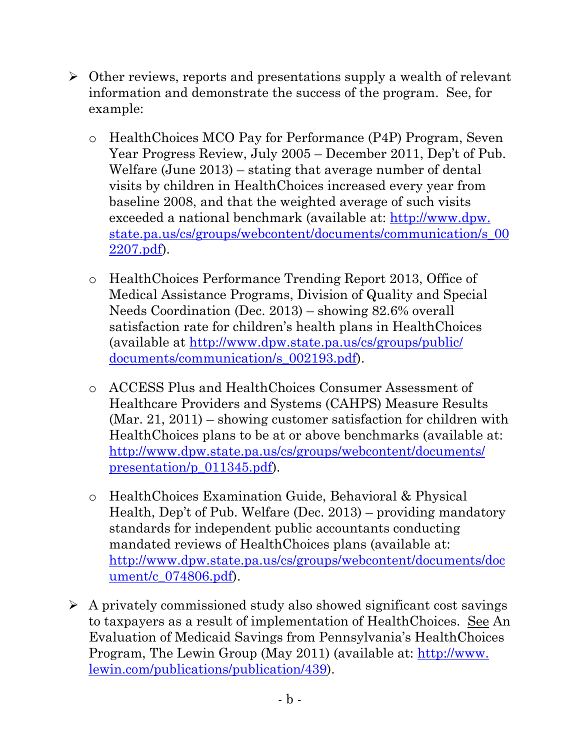- $\triangleright$  Other reviews, reports and presentations supply a wealth of relevant information and demonstrate the success of the program. See, for example:
	- o HealthChoices MCO Pay for Performance (P4P) Program, Seven Year Progress Review, July 2005 – December 2011, Dep't of Pub. Welfare (June 2013) – stating that average number of dental visits by children in HealthChoices increased every year from baseline 2008, and that the weighted average of such visits exceeded a national benchmark (available at: http://www.dpw. state.pa.us/cs/groups/webcontent/documents/communication/s\_00 2207.pdf).
	- o HealthChoices Performance Trending Report 2013, Office of Medical Assistance Programs, Division of Quality and Special Needs Coordination (Dec. 2013) – showing 82.6% overall satisfaction rate for children's health plans in HealthChoices (available at http://www.dpw.state.pa.us/cs/groups/public/ documents/communication/s\_002193.pdf).
	- o ACCESS Plus and HealthChoices Consumer Assessment of Healthcare Providers and Systems (CAHPS) Measure Results (Mar. 21, 2011) – showing customer satisfaction for children with HealthChoices plans to be at or above benchmarks (available at: http://www.dpw.state.pa.us/cs/groups/webcontent/documents/ presentation/p\_011345.pdf).
	- o HealthChoices Examination Guide, Behavioral & Physical Health, Dep't of Pub. Welfare (Dec. 2013) – providing mandatory standards for independent public accountants conducting mandated reviews of HealthChoices plans (available at: http://www.dpw.state.pa.us/cs/groups/webcontent/documents/doc ument/c 074806.pdf).
- $\triangleright$  A privately commissioned study also showed significant cost savings to taxpayers as a result of implementation of HealthChoices. See An Evaluation of Medicaid Savings from Pennsylvania's HealthChoices Program, The Lewin Group (May 2011) (available at: http://www. lewin.com/publications/publication/439).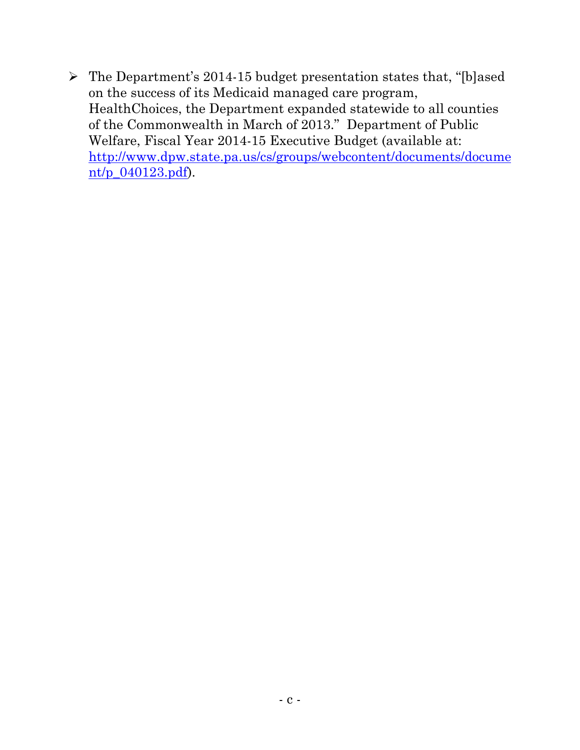$\triangleright$  The Department's 2014-15 budget presentation states that, "[b]ased on the success of its Medicaid managed care program, HealthChoices, the Department expanded statewide to all counties of the Commonwealth in March of 2013." Department of Public Welfare, Fiscal Year 2014-15 Executive Budget (available at: http://www.dpw.state.pa.us/cs/groups/webcontent/documents/docume nt/p\_040123.pdf).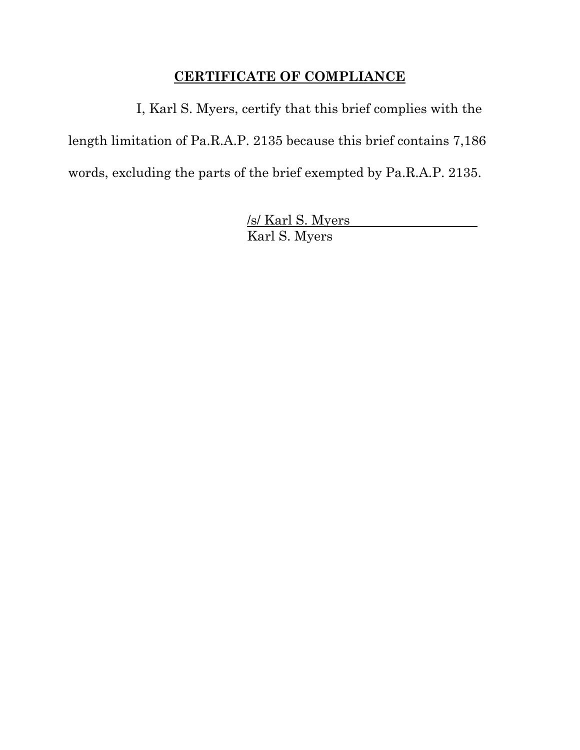# **CERTIFICATE OF COMPLIANCE**

I, Karl S. Myers, certify that this brief complies with the length limitation of Pa.R.A.P. 2135 because this brief contains 7,186 words, excluding the parts of the brief exempted by Pa.R.A.P. 2135.

> /s/ Karl S. Myers Karl S. Myers